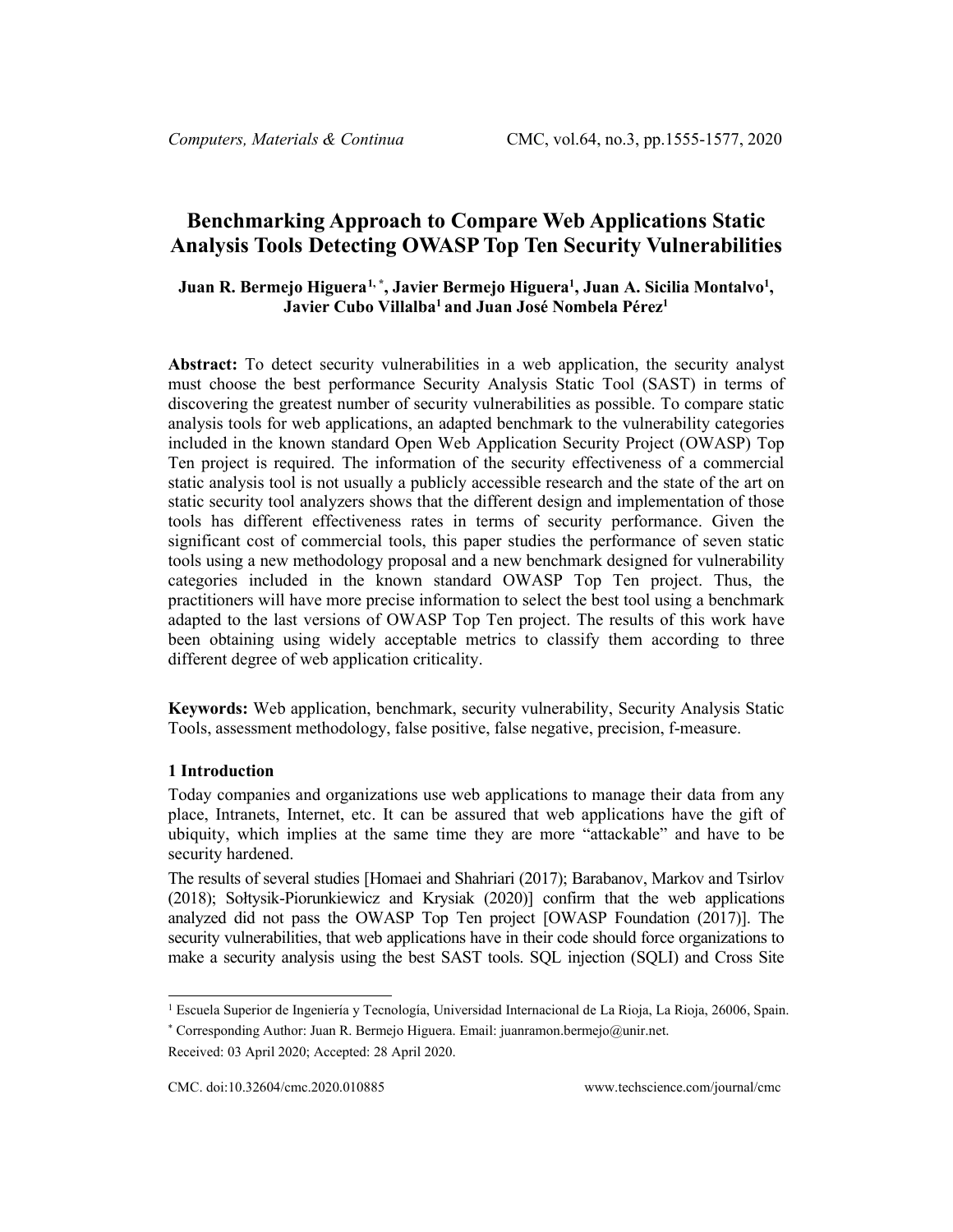# **Benchmarking Approach to Compare Web Applications Static Analysis Tools Detecting OWASP Top Ten Security Vulnerabilities**

# **Juan R. Bermejo Higuera[1,](#page-0-0) \* , Javier Bermejo Higuera1 , Juan A. Sicilia Montalvo1 ,**  Javier Cubo Villalba<sup>1</sup> and Juan José Nombela Pérez<sup>1</sup>

**Abstract:** To detect security vulnerabilities in a web application, the security analyst must choose the best performance Security Analysis Static Tool (SAST) in terms of discovering the greatest number of security vulnerabilities as possible. To compare static analysis tools for web applications, an adapted benchmark to the vulnerability categories included in the known standard Open Web Application Security Project (OWASP) Top Ten project is required. The information of the security effectiveness of a commercial static analysis tool is not usually a publicly accessible research and the state of the art on static security tool analyzers shows that the different design and implementation of those tools has different effectiveness rates in terms of security performance. Given the significant cost of commercial tools, this paper studies the performance of seven static tools using a new methodology proposal and a new benchmark designed for vulnerability categories included in the known standard OWASP Top Ten project. Thus, the practitioners will have more precise information to select the best tool using a benchmark adapted to the last versions of OWASP Top Ten project. The results of this work have been obtaining using widely acceptable metrics to classify them according to three different degree of web application criticality.

**Keywords:** Web application, benchmark, security vulnerability, Security Analysis Static Tools, assessment methodology, false positive, false negative, precision, f-measure.

#### **1 Introduction**

Today companies and organizations use web applications to manage their data from any place, Intranets, Internet, etc. It can be assured that web applications have the gift of ubiquity, which implies at the same time they are more "attackable" and have to be security hardened.

The results of several studies [Homaei and Shahriari (2017); Barabanov, Markov and Tsirlov (2018); Sołtysik-Piorunkiewicz and Krysiak (2020)] confirm that the web applications analyzed did not pass the OWASP Top Ten project [OWASP Foundation (2017)]. The security vulnerabilities, that web applications have in their code should force organizations to make a security analysis using the best SAST tools. SQL injection (SQLI) and Cross Site

<span id="page-0-0"></span><sup>1</sup> Escuela Superior de Ingeniería y Tecnología, Universidad Internacional de La Rioja, La Rioja, 26006, Spain.

<sup>\*</sup> Corresponding Author: Juan R. Bermejo Higuera. Email: juanramon.bermejo@unir.net.

Received: 03 April 2020; Accepted: 28 April 2020.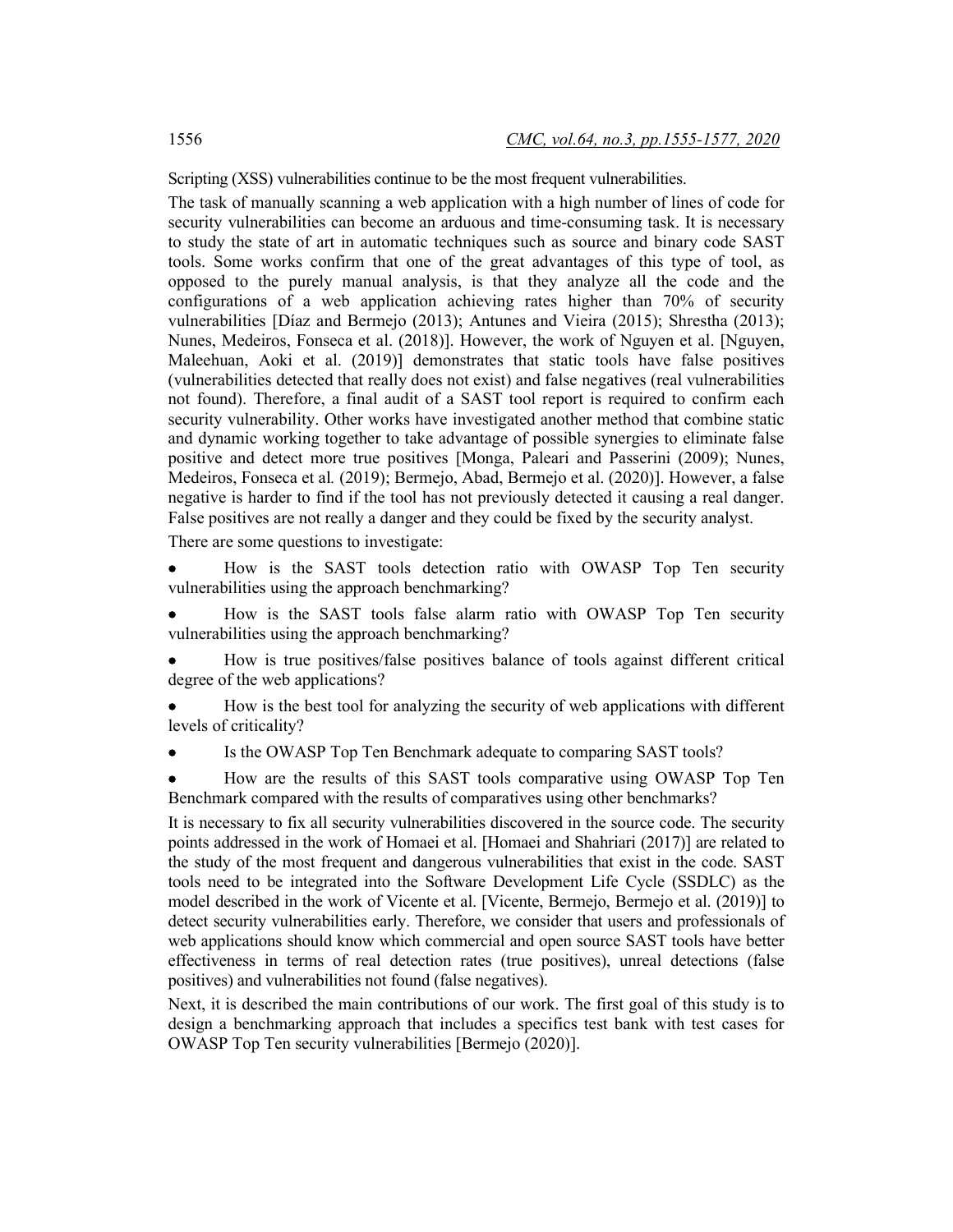Scripting (XSS) vulnerabilities continue to be the most frequent vulnerabilities.

The task of manually scanning a web application with a high number of lines of code for security vulnerabilities can become an arduous and time-consuming task. It is necessary to study the state of art in automatic techniques such as source and binary code SAST tools. Some works confirm that one of the great advantages of this type of tool, as opposed to the purely manual analysis, is that they analyze all the code and the configurations of a web application achieving rates higher than 70% of security vulnerabilities [Díaz and Bermejo (2013); Antunes and Vieira (2015); Shrestha (2013); Nunes, Medeiros, Fonseca et al. (2018)]. However, the work of Nguyen et al. [Nguyen, Maleehuan, Aoki et al. (2019)] demonstrates that static tools have false positives (vulnerabilities detected that really does not exist) and false negatives (real vulnerabilities not found). Therefore, a final audit of a SAST tool report is required to confirm each security vulnerability. Other works have investigated another method that combine static and dynamic working together to take advantage of possible synergies to eliminate false positive and detect more true positives [Monga, Paleari and Passerini (2009); Nunes, Medeiros, Fonseca et al*.* (2019); Bermejo, Abad, Bermejo et al. (2020)]. However, a false negative is harder to find if the tool has not previously detected it causing a real danger. False positives are not really a danger and they could be fixed by the security analyst.

There are some questions to investigate:

• How is the SAST tools detection ratio with OWASP Top Ten security vulnerabilities using the approach benchmarking?

• How is the SAST tools false alarm ratio with OWASP Top Ten security vulnerabilities using the approach benchmarking?

• How is true positives/false positives balance of tools against different critical degree of the web applications?

• How is the best tool for analyzing the security of web applications with different levels of criticality?

Is the OWASP Top Ten Benchmark adequate to comparing SAST tools?

• How are the results of this SAST tools comparative using OWASP Top Ten Benchmark compared with the results of comparatives using other benchmarks?

It is necessary to fix all security vulnerabilities discovered in the source code. The security points addressed in the work of Homaei et al. [Homaei and Shahriari (2017)] are related to the study of the most frequent and dangerous vulnerabilities that exist in the code. SAST tools need to be integrated into the Software Development Life Cycle (SSDLC) as the model described in the work of Vicente et al. [Vicente, Bermejo, Bermejo et al. (2019)] to detect security vulnerabilities early. Therefore, we consider that users and professionals of web applications should know which commercial and open source SAST tools have better effectiveness in terms of real detection rates (true positives), unreal detections (false positives) and vulnerabilities not found (false negatives).

Next, it is described the main contributions of our work. The first goal of this study is to design a benchmarking approach that includes a specifics test bank with test cases for OWASP Top Ten security vulnerabilities [Bermejo (2020)].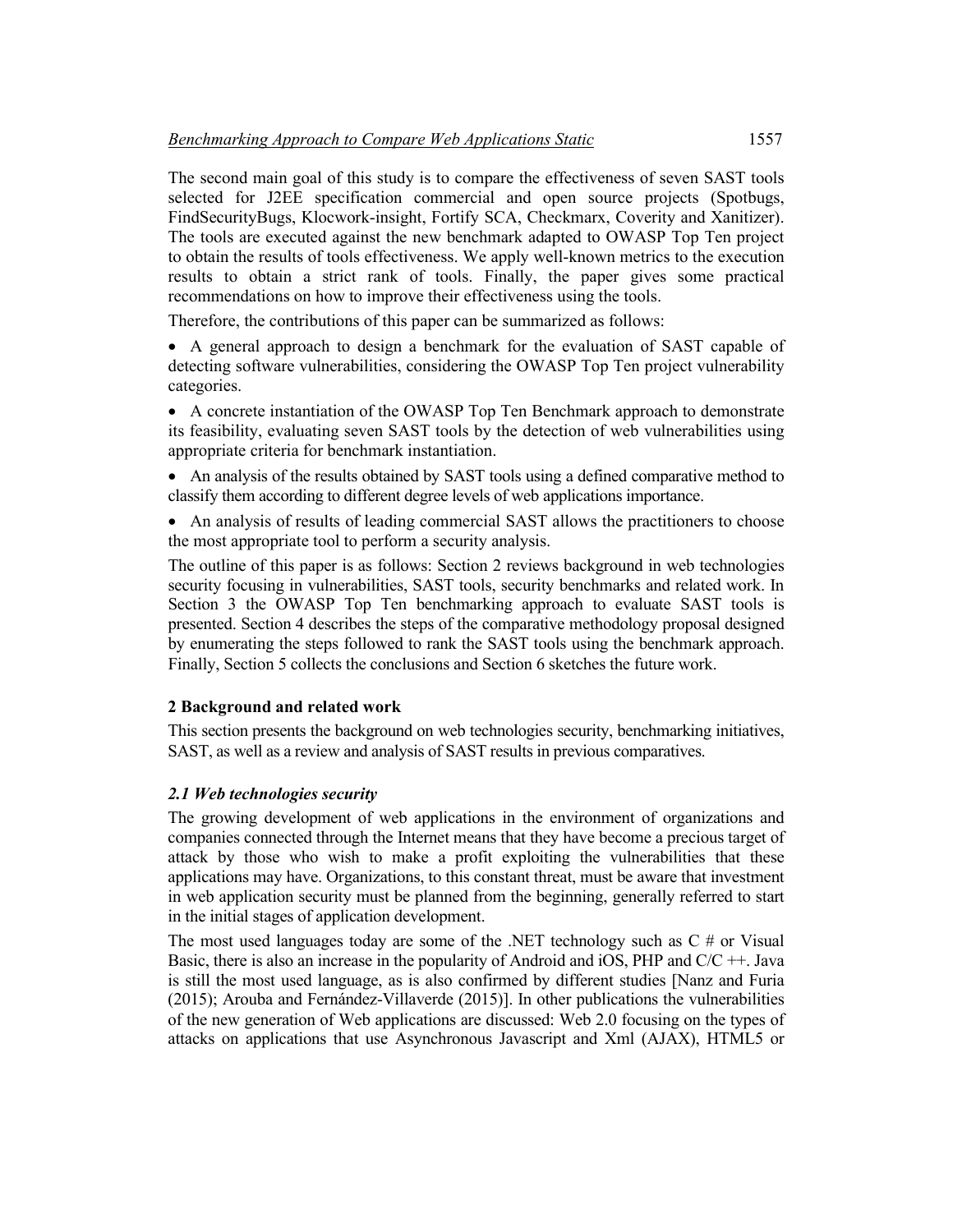The second main goal of this study is to compare the effectiveness of seven SAST tools selected for J2EE specification commercial and open source projects (Spotbugs, FindSecurityBugs, Klocwork-insight, Fortify SCA, Checkmarx, Coverity and Xanitizer). The tools are executed against the new benchmark adapted to OWASP Top Ten project to obtain the results of tools effectiveness. We apply well-known metrics to the execution results to obtain a strict rank of tools. Finally, the paper gives some practical recommendations on how to improve their effectiveness using the tools.

Therefore, the contributions of this paper can be summarized as follows:

• A general approach to design a benchmark for the evaluation of SAST capable of detecting software vulnerabilities, considering the OWASP Top Ten project vulnerability categories.

• A concrete instantiation of the OWASP Top Ten Benchmark approach to demonstrate its feasibility, evaluating seven SAST tools by the detection of web vulnerabilities using appropriate criteria for benchmark instantiation.

• An analysis of the results obtained by SAST tools using a defined comparative method to classify them according to different degree levels of web applications importance.

• An analysis of results of leading commercial SAST allows the practitioners to choose the most appropriate tool to perform a security analysis.

The outline of this paper is as follows: Section 2 reviews background in web technologies security focusing in vulnerabilities, SAST tools, security benchmarks and related work. In Section 3 the OWASP Top Ten benchmarking approach to evaluate SAST tools is presented. Section 4 describes the steps of the comparative methodology proposal designed by enumerating the steps followed to rank the SAST tools using the benchmark approach. Finally, Section 5 collects the conclusions and Section 6 sketches the future work.

# **2 Background and related work**

This section presents the background on web technologies security, benchmarking initiatives, SAST, as well as a review and analysis of SAST results in previous comparatives.

# *2.1 Web technologies security*

The growing development of web applications in the environment of organizations and companies connected through the Internet means that they have become a precious target of attack by those who wish to make a profit exploiting the vulnerabilities that these applications may have. Organizations, to this constant threat, must be aware that investment in web application security must be planned from the beginning, generally referred to start in the initial stages of application development.

The most used languages today are some of the .NET technology such as  $C \#$  or Visual Basic, there is also an increase in the popularity of Android and iOS, PHP and C/C ++. Java is still the most used language, as is also confirmed by different studies [Nanz and Furia (2015); Arouba and Fernández-Villaverde (2015)]. In other publications the vulnerabilities of the new generation of Web applications are discussed: Web 2.0 focusing on the types of attacks on applications that use Asynchronous Javascript and Xml (AJAX), HTML5 or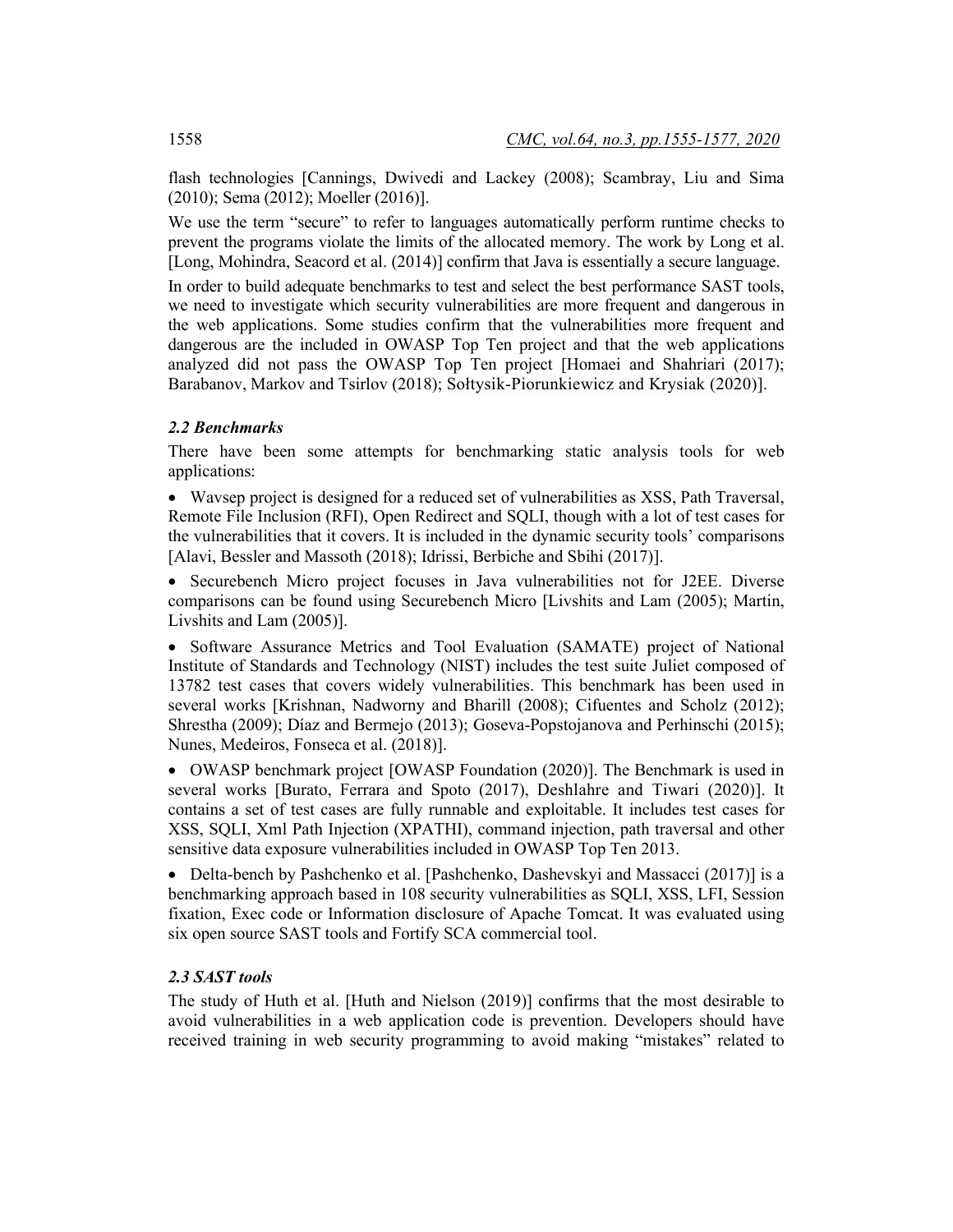flash technologies [Cannings, Dwivedi and Lackey (2008); Scambray, Liu and Sima (2010); Sema (2012); Moeller (2016)].

We use the term "secure" to refer to languages automatically perform runtime checks to prevent the programs violate the limits of the allocated memory. The work by Long et al. [Long, Mohindra, Seacord et al. (2014)] confirm that Java is essentially a secure language.

In order to build adequate benchmarks to test and select the best performance SAST tools, we need to investigate which security vulnerabilities are more frequent and dangerous in the web applications. Some studies confirm that the vulnerabilities more frequent and dangerous are the included in OWASP Top Ten project and that the web applications analyzed did not pass the OWASP Top Ten project [Homaei and Shahriari (2017); Barabanov, Markov and Tsirlov (2018); Sołtysik-Piorunkiewicz and Krysiak (2020)].

# *2.2 Benchmarks*

There have been some attempts for benchmarking static analysis tools for web applications:

• Wavsep project is designed for a reduced set of vulnerabilities as XSS, Path Traversal, Remote File Inclusion (RFI), Open Redirect and SQLI, though with a lot of test cases for the vulnerabilities that it covers. It is included in the dynamic security tools' comparisons [Alavi, Bessler and Massoth (2018); Idrissi, Berbiche and Sbihi (2017)].

• Securebench Micro project focuses in Java vulnerabilities not for J2EE. Diverse comparisons can be found using Securebench Micro [Livshits and Lam (2005); Martin, Livshits and Lam (2005)].

• Software Assurance Metrics and Tool Evaluation (SAMATE) project of National Institute of Standards and Technology (NIST) includes the test suite Juliet composed of 13782 test cases that covers widely vulnerabilities. This benchmark has been used in several works [Krishnan, Nadworny and Bharill (2008); Cifuentes and Scholz (2012); Shrestha (2009); Díaz and Bermejo (2013); Goseva-Popstojanova and Perhinschi (2015); Nunes, Medeiros, Fonseca et al. (2018)].

• OWASP benchmark project [OWASP Foundation (2020)]. The Benchmark is used in several works [Burato, Ferrara and Spoto (2017), Deshlahre and Tiwari (2020)]. It contains a set of test cases are fully runnable and exploitable. It includes test cases for XSS, SQLI, Xml Path Injection (XPATHI), command injection, path traversal and other sensitive data exposure vulnerabilities included in OWASP Top Ten 2013.

• Delta-bench by Pashchenko et al. [Pashchenko, Dashevskyi and Massacci (2017)] is a benchmarking approach based in 108 security vulnerabilities as SQLI, XSS, LFI, Session fixation, Exec code or Information disclosure of Apache Tomcat. It was evaluated using six open source SAST tools and Fortify SCA commercial tool.

# *2.3 SAST tools*

The study of Huth et al. [Huth and Nielson (2019)] confirms that the most desirable to avoid vulnerabilities in a web application code is prevention. Developers should have received training in web security programming to avoid making "mistakes" related to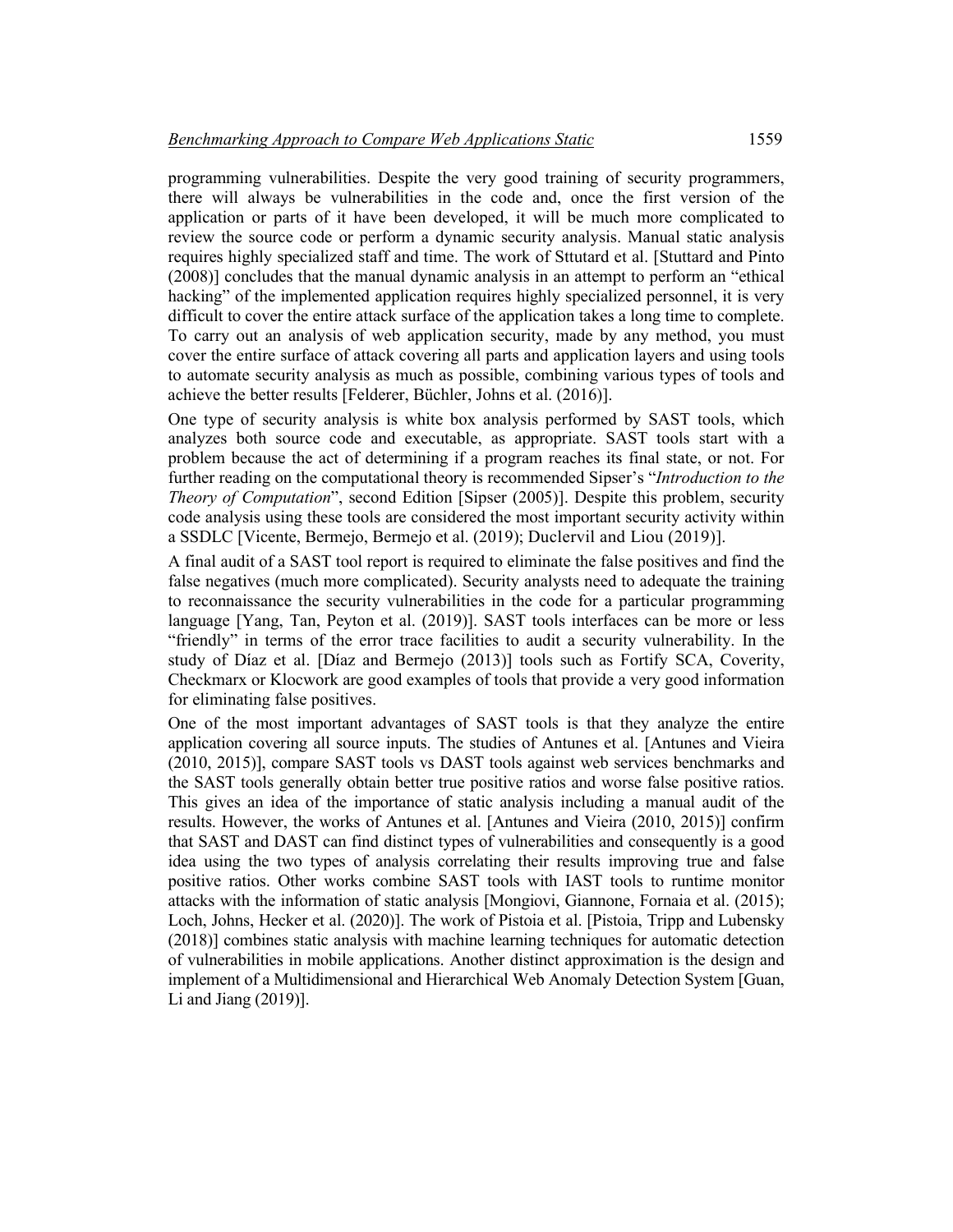programming vulnerabilities. Despite the very good training of security programmers, there will always be vulnerabilities in the code and, once the first version of the application or parts of it have been developed, it will be much more complicated to review the source code or perform a dynamic security analysis. Manual static analysis requires highly specialized staff and time. The work of Sttutard et al. [Stuttard and Pinto (2008)] concludes that the manual dynamic analysis in an attempt to perform an "ethical hacking" of the implemented application requires highly specialized personnel, it is very difficult to cover the entire attack surface of the application takes a long time to complete. To carry out an analysis of web application security, made by any method, you must cover the entire surface of attack covering all parts and application layers and using tools to automate security analysis as much as possible, combining various types of tools and achieve the better results [Felderer, Büchler, Johns et al. (2016)].

One type of security analysis is white box analysis performed by SAST tools, which analyzes both source code and executable, as appropriate. SAST tools start with a problem because the act of determining if a program reaches its final state, or not. For further reading on the computational theory is recommended Sipser's "*Introduction to the Theory of Computation*", second Edition [Sipser (2005)]. Despite this problem, security code analysis using these tools are considered the most important security activity within a SSDLC [Vicente, Bermejo, Bermejo et al. (2019); Duclervil and Liou (2019)].

A final audit of a SAST tool report is required to eliminate the false positives and find the false negatives (much more complicated). Security analysts need to adequate the training to reconnaissance the security vulnerabilities in the code for a particular programming language [Yang, Tan, Peyton et al. (2019)]. SAST tools interfaces can be more or less "friendly" in terms of the error trace facilities to audit a security vulnerability. In the study of Díaz et al. [Díaz and Bermejo (2013)] tools such as Fortify SCA, Coverity, Checkmarx or Klocwork are good examples of tools that provide a very good information for eliminating false positives.

One of the most important advantages of SAST tools is that they analyze the entire application covering all source inputs. The studies of Antunes et al. [Antunes and Vieira (2010, 2015)], compare SAST tools vs DAST tools against web services benchmarks and the SAST tools generally obtain better true positive ratios and worse false positive ratios. This gives an idea of the importance of static analysis including a manual audit of the results. However, the works of Antunes et al. [Antunes and Vieira (2010, 2015)] confirm that SAST and DAST can find distinct types of vulnerabilities and consequently is a good idea using the two types of analysis correlating their results improving true and false positive ratios. Other works combine SAST tools with IAST tools to runtime monitor attacks with the information of static analysis [Mongiovi, Giannone, Fornaia et al. (2015); Loch, Johns, Hecker et al. (2020)]. The work of Pistoia et al. [Pistoia, Tripp and Lubensky (2018)] combines static analysis with machine learning techniques for automatic detection of vulnerabilities in mobile applications. Another distinct approximation is the design and implement of a Multidimensional and Hierarchical Web Anomaly Detection System [Guan, Li and Jiang (2019)].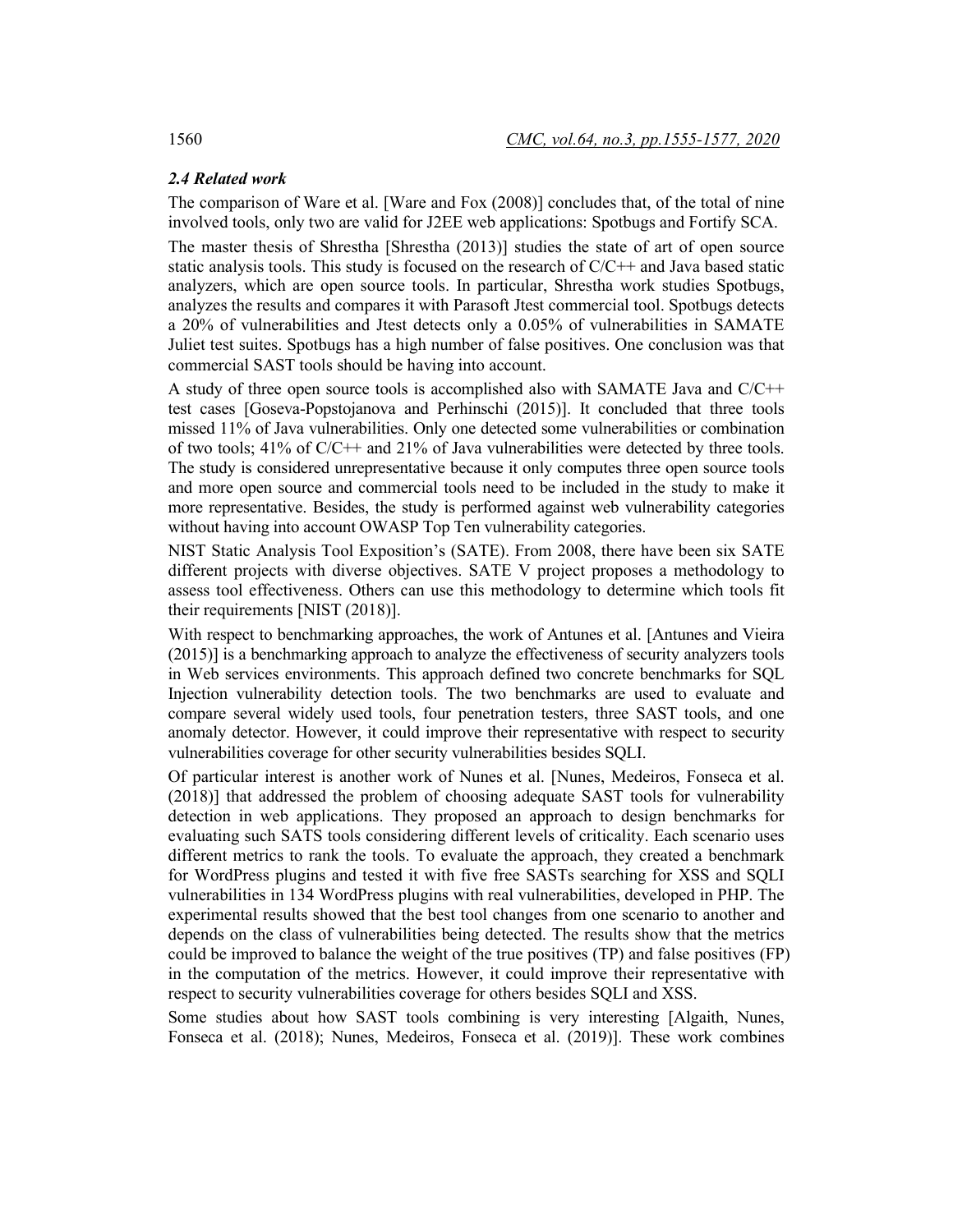### *2.4 Related work*

The comparison of Ware et al. [Ware and Fox (2008)] concludes that, of the total of nine involved tools, only two are valid for J2EE web applications: Spotbugs and Fortify SCA.

The master thesis of Shrestha [Shrestha (2013)] studies the state of art of open source static analysis tools. This study is focused on the research of C/C++ and Java based static analyzers, which are open source tools. In particular, Shrestha work studies Spotbugs, analyzes the results and compares it with Parasoft Jtest commercial tool. Spotbugs detects a 20% of vulnerabilities and Jtest detects only a 0.05% of vulnerabilities in SAMATE Juliet test suites. Spotbugs has a high number of false positives. One conclusion was that commercial SAST tools should be having into account.

A study of three open source tools is accomplished also with SAMATE Java and C/C++ test cases [Goseva-Popstojanova and Perhinschi (2015)]. It concluded that three tools missed 11% of Java vulnerabilities. Only one detected some vulnerabilities or combination of two tools;  $41\%$  of  $C/C++$  and  $21\%$  of Java vulnerabilities were detected by three tools. The study is considered unrepresentative because it only computes three open source tools and more open source and commercial tools need to be included in the study to make it more representative. Besides, the study is performed against web vulnerability categories without having into account OWASP Top Ten vulnerability categories.

NIST Static Analysis Tool Exposition's (SATE). From 2008, there have been six SATE different projects with diverse objectives. SATE V project proposes a methodology to assess tool effectiveness. Others can use this methodology to determine which tools fit their requirements [NIST (2018)].

With respect to benchmarking approaches, the work of Antunes et al. [Antunes and Vieira (2015)] is a benchmarking approach to analyze the effectiveness of security analyzers tools in Web services environments. This approach defined two concrete benchmarks for SQL Injection vulnerability detection tools. The two benchmarks are used to evaluate and compare several widely used tools, four penetration testers, three SAST tools, and one anomaly detector. However, it could improve their representative with respect to security vulnerabilities coverage for other security vulnerabilities besides SQLI.

Of particular interest is another work of Nunes et al. [Nunes, Medeiros, Fonseca et al. (2018)] that addressed the problem of choosing adequate SAST tools for vulnerability detection in web applications. They proposed an approach to design benchmarks for evaluating such SATS tools considering different levels of criticality. Each scenario uses different metrics to rank the tools. To evaluate the approach, they created a benchmark for WordPress plugins and tested it with five free SASTs searching for XSS and SQLI vulnerabilities in 134 WordPress plugins with real vulnerabilities, developed in PHP. The experimental results showed that the best tool changes from one scenario to another and depends on the class of vulnerabilities being detected. The results show that the metrics could be improved to balance the weight of the true positives (TP) and false positives (FP) in the computation of the metrics. However, it could improve their representative with respect to security vulnerabilities coverage for others besides SQLI and XSS.

Some studies about how SAST tools combining is very interesting [Algaith, Nunes, Fonseca et al. (2018); Nunes, Medeiros, Fonseca et al. (2019)]. These work combines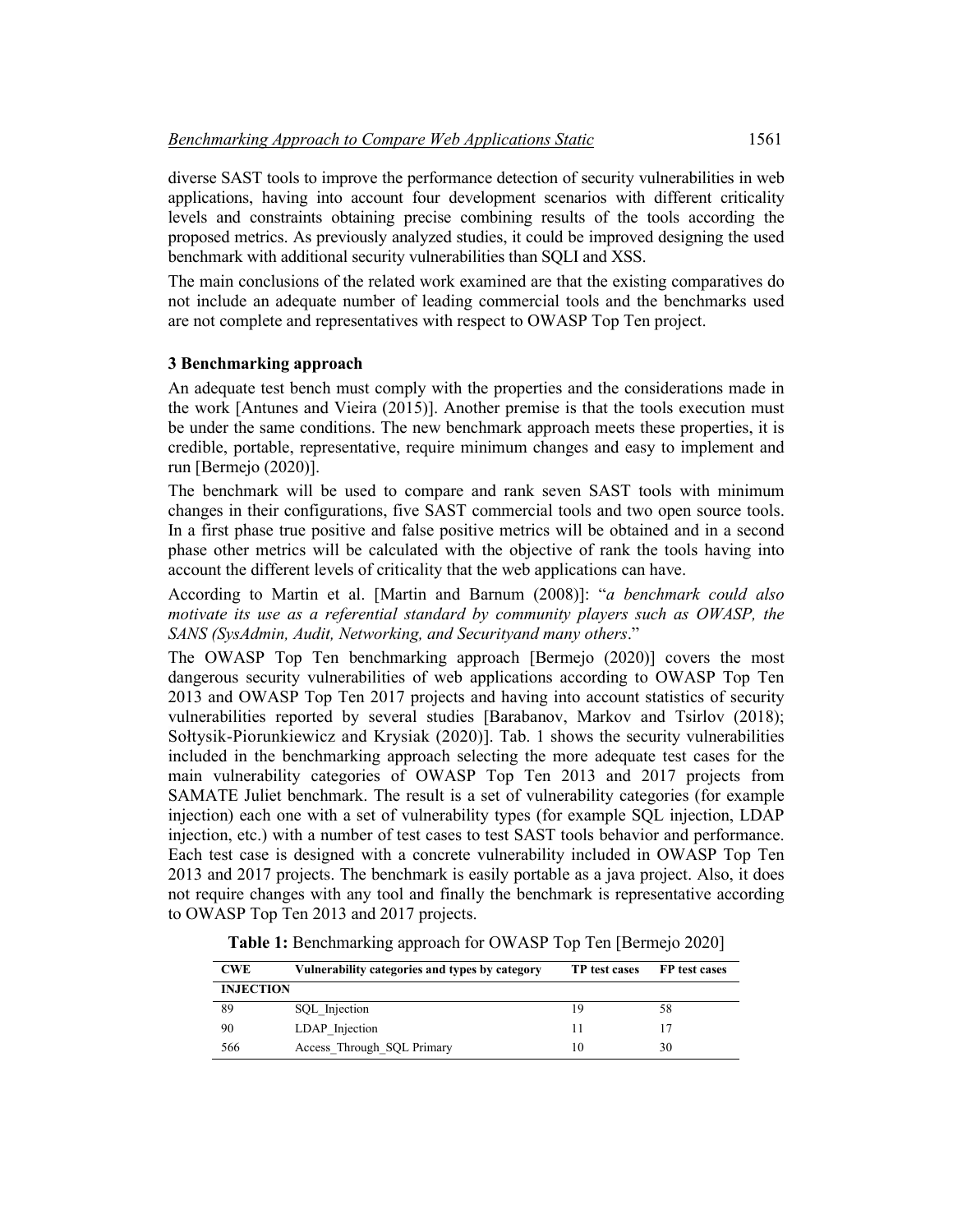diverse SAST tools to improve the performance detection of security vulnerabilities in web applications, having into account four development scenarios with different criticality levels and constraints obtaining precise combining results of the tools according the proposed metrics. As previously analyzed studies, it could be improved designing the used benchmark with additional security vulnerabilities than SQLI and XSS.

The main conclusions of the related work examined are that the existing comparatives do not include an adequate number of leading commercial tools and the benchmarks used are not complete and representatives with respect to OWASP Top Ten project.

#### **3 Benchmarking approach**

An adequate test bench must comply with the properties and the considerations made in the work [Antunes and Vieira (2015)]. Another premise is that the tools execution must be under the same conditions. The new benchmark approach meets these properties, it is credible, portable, representative, require minimum changes and easy to implement and run [Bermejo (2020)].

The benchmark will be used to compare and rank seven SAST tools with minimum changes in their configurations, five SAST commercial tools and two open source tools. In a first phase true positive and false positive metrics will be obtained and in a second phase other metrics will be calculated with the objective of rank the tools having into account the different levels of criticality that the web applications can have.

According to Martin et al. [Martin and Barnum (2008)]: "*a benchmark could also motivate its use as a referential standard by community players such as OWASP, the SANS (SysAdmin, Audit, Networking, and Securityand many others*."

The OWASP Top Ten benchmarking approach [Bermejo (2020)] covers the most dangerous security vulnerabilities of web applications according to OWASP Top Ten 2013 and OWASP Top Ten 2017 projects and having into account statistics of security vulnerabilities reported by several studies [Barabanov, Markov and Tsirlov (2018); Sołtysik-Piorunkiewicz and Krysiak (2020)]. Tab. 1 shows the security vulnerabilities included in the benchmarking approach selecting the more adequate test cases for the main vulnerability categories of OWASP Top Ten 2013 and 2017 projects from SAMATE Juliet benchmark. The result is a set of vulnerability categories (for example injection) each one with a set of vulnerability types (for example SQL injection, LDAP injection, etc.) with a number of test cases to test SAST tools behavior and performance. Each test case is designed with a concrete vulnerability included in OWASP Top Ten 2013 and 2017 projects. The benchmark is easily portable as a java project. Also, it does not require changes with any tool and finally the benchmark is representative according to OWASP Top Ten 2013 and 2017 projects.

**Table 1:** Benchmarking approach for OWASP Top Ten [Bermejo 2020]

| <b>CWE</b>       | Vulnerability categories and types by category | TP test cases | FP test cases |
|------------------|------------------------------------------------|---------------|---------------|
| <b>INJECTION</b> |                                                |               |               |
| 89               | SQL Injection                                  | 19            | 58            |
| 90               | LDAP Injection                                 |               |               |
| 566              | Access Through SQL Primary                     | 10            | 30            |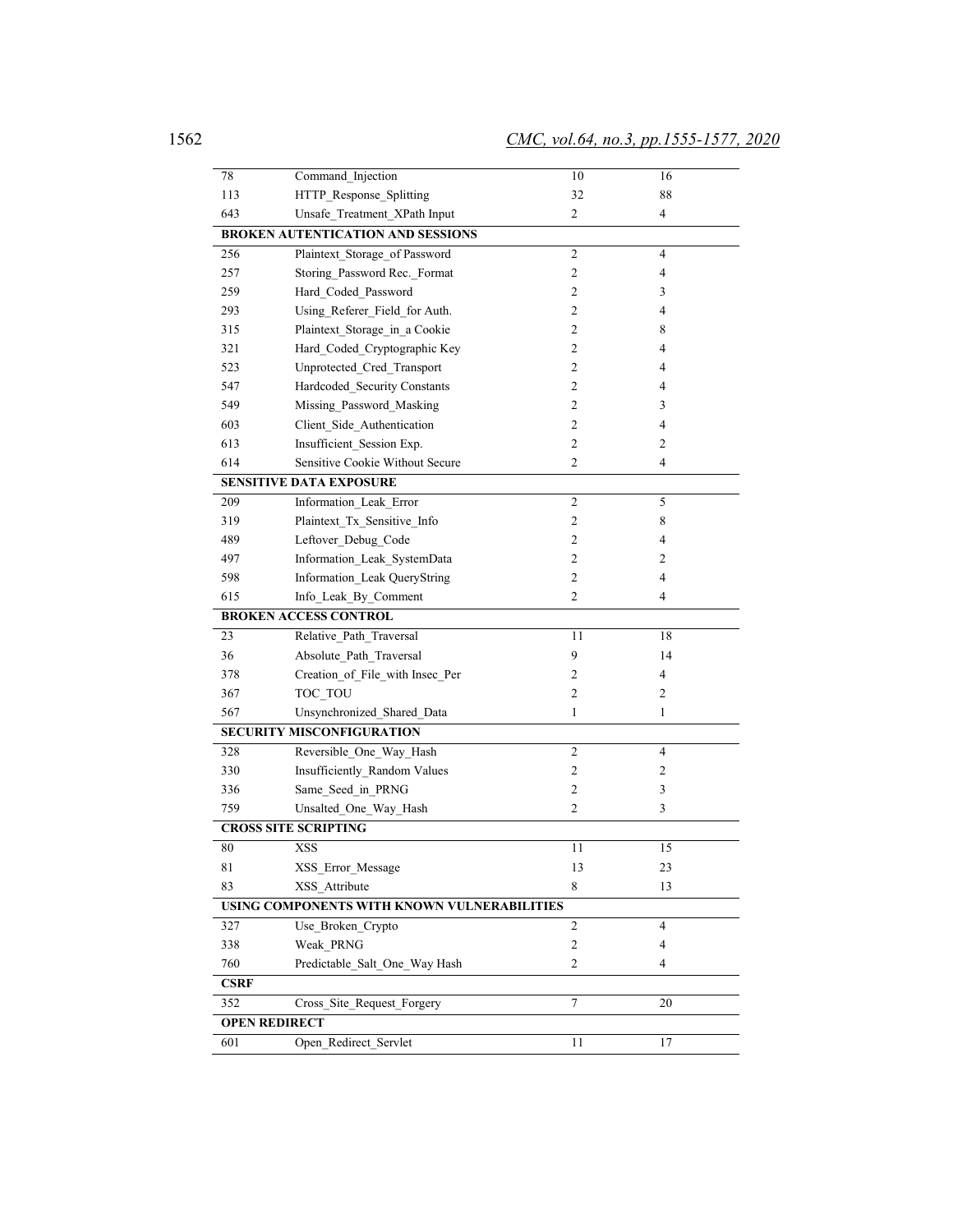| 78                           | Command Injection                                    | 10             | 16             |  |  |  |  |  |
|------------------------------|------------------------------------------------------|----------------|----------------|--|--|--|--|--|
| 113                          | HTTP_Response_Splitting                              | 32             | 88             |  |  |  |  |  |
| 643                          | Unsafe Treatment XPath Input                         | $\overline{c}$ | 4              |  |  |  |  |  |
|                              | <b>BROKEN AUTENTICATION AND SESSIONS</b>             |                |                |  |  |  |  |  |
| 256                          | Plaintext Storage of Password                        | $\overline{c}$ | 4              |  |  |  |  |  |
| 257                          | Storing Password Rec. Format                         | 2              | 4              |  |  |  |  |  |
| 259                          | Hard_Coded_Password                                  | $\overline{c}$ | 3              |  |  |  |  |  |
| 293                          | Using_Referer_Field_for Auth.                        | 2              | 4              |  |  |  |  |  |
| 315                          | Plaintext_Storage_in_a Cookie                        | 2              | 8              |  |  |  |  |  |
| 321                          | Hard Coded Cryptographic Key                         | $\overline{c}$ | 4              |  |  |  |  |  |
| 523                          | Unprotected_Cred_Transport                           | $\overline{c}$ | 4              |  |  |  |  |  |
| 547                          | Hardcoded_Security Constants                         | $\overline{c}$ | 4              |  |  |  |  |  |
| 549                          | Missing Password Masking                             | $\overline{c}$ | 3              |  |  |  |  |  |
| 603                          | Client_Side_Authentication                           | $\overline{c}$ | 4              |  |  |  |  |  |
| 613                          | Insufficient Session Exp.                            | 2              | 2              |  |  |  |  |  |
| 614                          | Sensitive Cookie Without Secure                      | $\overline{c}$ | 4              |  |  |  |  |  |
|                              | <b>SENSITIVE DATA EXPOSURE</b>                       |                |                |  |  |  |  |  |
| 209                          | Information Leak Error                               | $\sqrt{2}$     | 5              |  |  |  |  |  |
| 319                          | Plaintext Tx Sensitive Info                          | $\mathfrak{2}$ | 8              |  |  |  |  |  |
| 489                          | Leftover_Debug_Code                                  | 2              | 4              |  |  |  |  |  |
| 497                          | Information_Leak_SystemData                          | 2              | 2              |  |  |  |  |  |
| 598                          | Information_Leak QueryString                         | $\overline{c}$ | 4              |  |  |  |  |  |
| 615                          | Info Leak By Comment                                 | $\overline{c}$ | 4              |  |  |  |  |  |
| <b>BROKEN ACCESS CONTROL</b> |                                                      |                |                |  |  |  |  |  |
| 23                           | Relative Path Traversal                              | 11             | 18             |  |  |  |  |  |
| 36                           | Absolute_Path_Traversal                              | 9              | 14             |  |  |  |  |  |
| 378                          | Creation_of_File_with Insec_Per                      | 2              | 4              |  |  |  |  |  |
| 367                          | TOC TOU                                              | $\mathfrak{2}$ | 2              |  |  |  |  |  |
| 567                          | Unsynchronized_Shared_Data                           | 1              | 1              |  |  |  |  |  |
|                              | SECURITY MISCONFIGURATION                            |                |                |  |  |  |  |  |
| 328                          | Reversible_One_Way_Hash                              | $\overline{c}$ | $\overline{4}$ |  |  |  |  |  |
| 330                          | Insufficiently_Random Values                         | $\mathfrak{2}$ | 2              |  |  |  |  |  |
| 336                          | Same Seed in PRNG                                    | $\overline{c}$ | 3              |  |  |  |  |  |
| 759                          | Unsalted_One_Way_Hash                                | $\overline{c}$ | 3              |  |  |  |  |  |
| <b>CROSS SITE SCRIPTING</b>  |                                                      |                |                |  |  |  |  |  |
| 80                           | <b>XSS</b>                                           | 11             | 15             |  |  |  |  |  |
| 81                           | XSS_Error_Message                                    | 13             | 23             |  |  |  |  |  |
| 83                           | XSS_Attribute                                        | 8              | 13             |  |  |  |  |  |
|                              | USING COMPONENTS WITH KNOWN VULNERABILITIES          |                |                |  |  |  |  |  |
| 327                          | Use_Broken_Crypto                                    | $\overline{2}$ | 4              |  |  |  |  |  |
| 338                          | Weak_PRNG                                            | $\sqrt{2}$     | 4              |  |  |  |  |  |
| 760                          | $\overline{c}$<br>Predictable Salt One Way Hash<br>4 |                |                |  |  |  |  |  |
| <b>CSRF</b>                  |                                                      |                |                |  |  |  |  |  |
| 352                          | Cross Site Request Forgery                           | $\overline{7}$ | 20             |  |  |  |  |  |
|                              | <b>OPEN REDIRECT</b>                                 |                |                |  |  |  |  |  |
| 601                          | Open Redirect Servlet                                | 11             | 17             |  |  |  |  |  |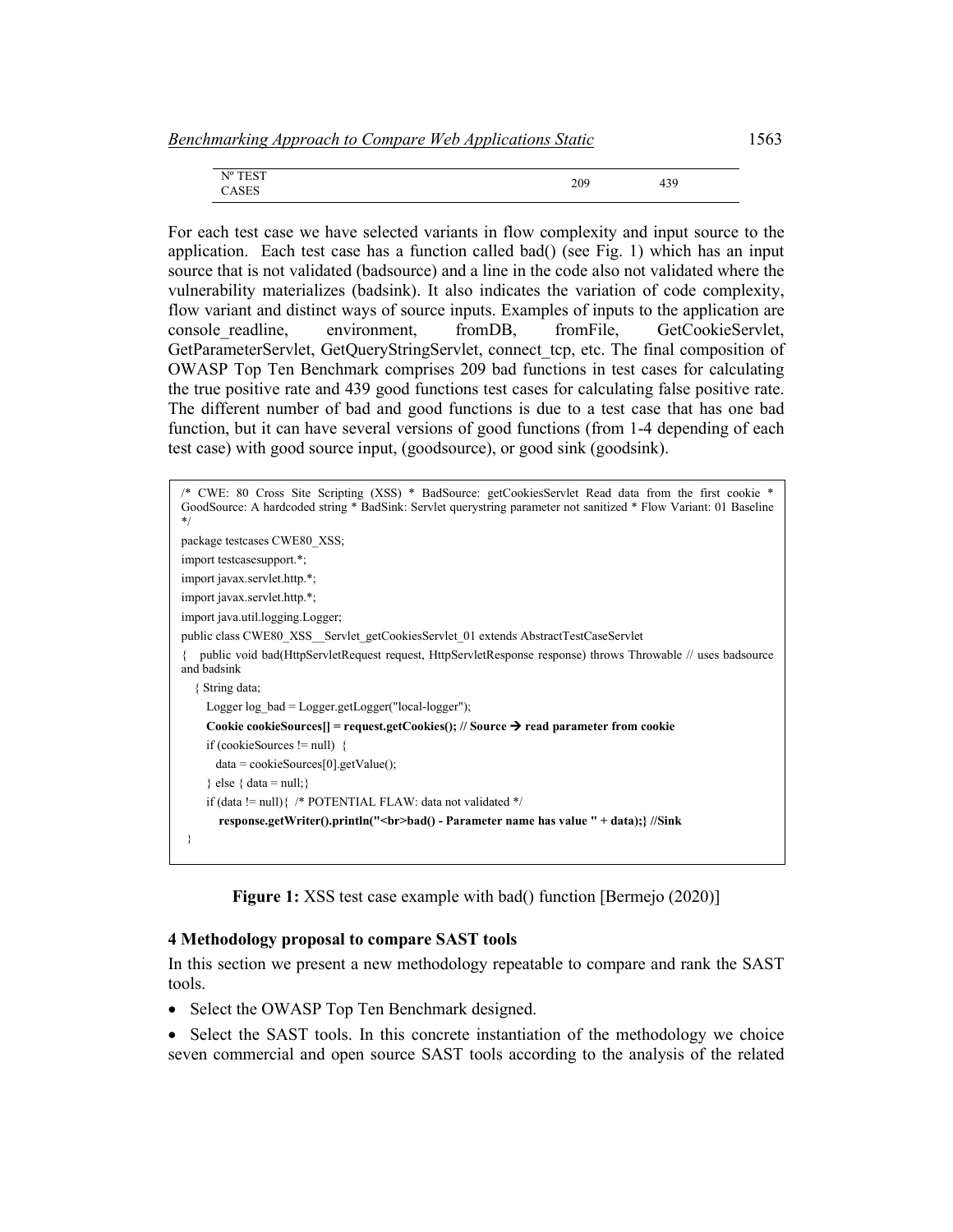|  | <b>FEST</b><br>N <sup>0</sup><br><b>LUI</b><br>$\mathbf{1}$<br>-<br>$\Gamma$<br>CASES | 209 | $\sim$<br>ェンノ |  |
|--|---------------------------------------------------------------------------------------|-----|---------------|--|
|--|---------------------------------------------------------------------------------------|-----|---------------|--|

For each test case we have selected variants in flow complexity and input source to the application. Each test case has a function called bad() (see Fig. 1) which has an input source that is not validated (badsource) and a line in the code also not validated where the vulnerability materializes (badsink). It also indicates the variation of code complexity, flow variant and distinct ways of source inputs. Examples of inputs to the application are console readline, environment, fromDB, fromFile, GetCookieServlet, GetParameterServlet, GetQueryStringServlet, connect\_tcp, etc. The final composition of OWASP Top Ten Benchmark comprises 209 bad functions in test cases for calculating the true positive rate and 439 good functions test cases for calculating false positive rate. The different number of bad and good functions is due to a test case that has one bad function, but it can have several versions of good functions (from 1-4 depending of each test case) with good source input, (goodsource), or good sink (goodsink).

```
/* CWE: 80 Cross Site Scripting (XSS) * BadSource: getCookiesServlet Read data from the first cookie * 
GoodSource: A hardcoded string * BadSink: Servlet querystring parameter not sanitized * Flow Variant: 01 Baseline 
*/
package testcases CWE80_XSS;
import testcasesupport.*;
import javax.servlet.http.*;
import javax.servlet.http.*;
import java.util.logging.Logger;
public class CWE80_XSS _ Servlet_getCookiesServlet_01 extends AbstractTestCaseServlet
{ public void bad(HttpServletRequest request, HttpServletResponse response) throws Throwable // uses badsource 
and badsink 
   { String data;
     Logger log_bad = Logger.getLogger("local-logger");
    Cookie cookieSources[] = request.getCookies(); // Source \rightarrow read parameter from cookie
     if (cookieSources != null) { 
       data = cookieSources[0].getValue();
    \} else \{ data = null; \}if (data != null){ /* POTENTIAL FLAW: data not validated */
        response.getWriter().println("<br>bad() - Parameter name has value " + data);} //Sink
 }
```
**Figure 1:** XSS test case example with bad() function [Bermejo (2020)]

#### **4 Methodology proposal to compare SAST tools**

In this section we present a new methodology repeatable to compare and rank the SAST tools.

- Select the OWASP Top Ten Benchmark designed.
- Select the SAST tools. In this concrete instantiation of the methodology we choice seven commercial and open source SAST tools according to the analysis of the related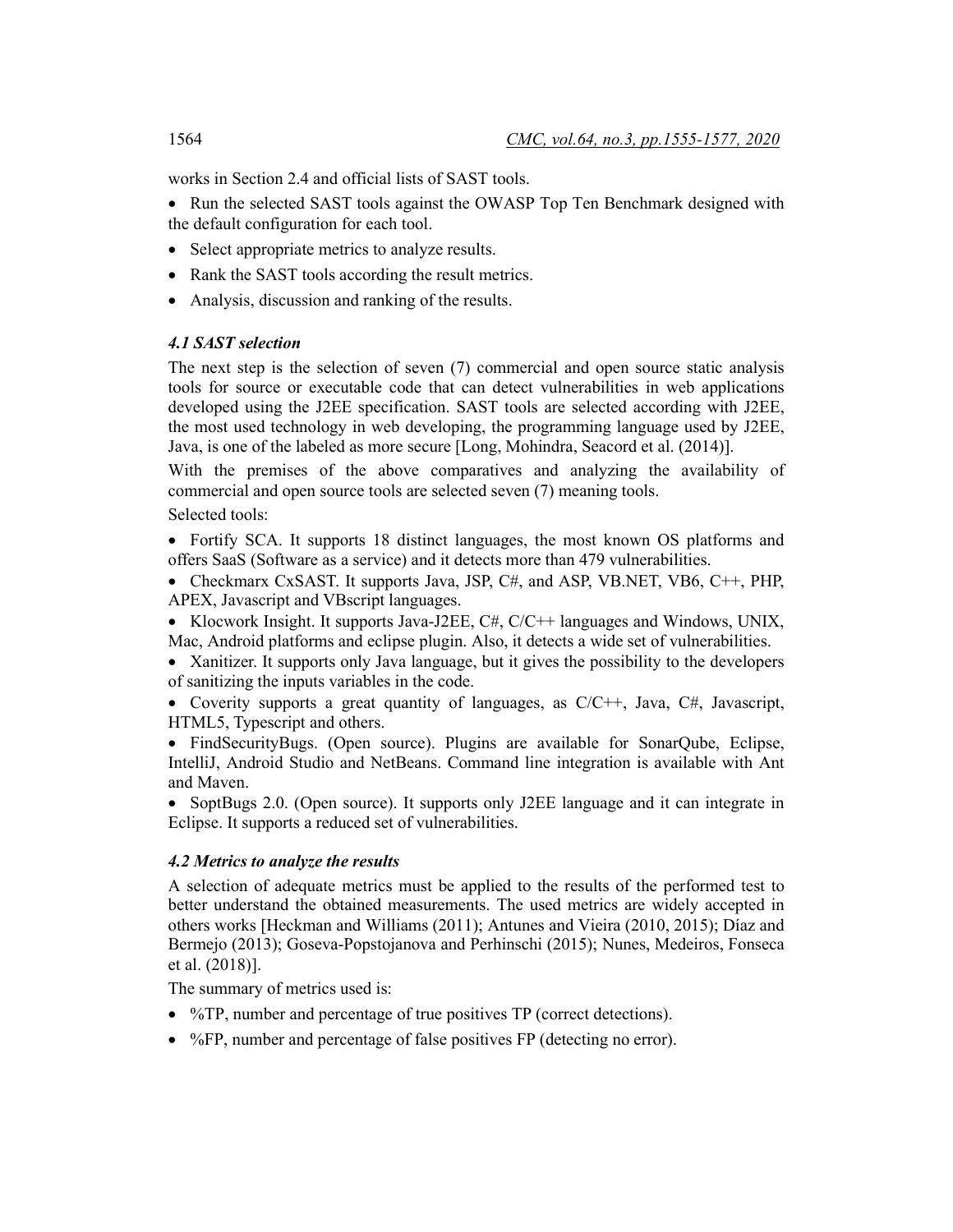works in Section 2.4 and official lists of SAST tools.

• Run the selected SAST tools against the OWASP Top Ten Benchmark designed with the default configuration for each tool.

- Select appropriate metrics to analyze results.
- Rank the SAST tools according the result metrics.
- Analysis, discussion and ranking of the results.

# *4.1 SAST selection*

The next step is the selection of seven (7) commercial and open source static analysis tools for source or executable code that can detect vulnerabilities in web applications developed using the J2EE specification. SAST tools are selected according with J2EE, the most used technology in web developing, the programming language used by J2EE, Java, is one of the labeled as more secure [Long, Mohindra, Seacord et al. (2014)].

With the premises of the above comparatives and analyzing the availability of commercial and open source tools are selected seven (7) meaning tools.

Selected tools:

• Fortify SCA. It supports 18 distinct languages, the most known OS platforms and offers SaaS (Software as a service) and it detects more than 479 vulnerabilities.

• Checkmarx CxSAST. It supports Java, JSP, C#, and ASP, VB.NET, VB6, C++, PHP, APEX, Javascript and VBscript languages.

• Klocwork Insight. It supports Java-J2EE, C#, C/C++ languages and Windows, UNIX, Mac, Android platforms and eclipse plugin. Also, it detects a wide set of vulnerabilities.

• Xanitizer. It supports only Java language, but it gives the possibility to the developers of sanitizing the inputs variables in the code.

• Coverity supports a great quantity of languages, as  $C/C++$ , Java,  $C\#$ , Javascript, HTML5, Typescript and others.

• FindSecurityBugs. (Open source). Plugins are available for SonarQube, Eclipse, IntelliJ, Android Studio and NetBeans. Command line integration is available with Ant and Maven.

• SoptBugs 2.0. (Open source). It supports only J2EE language and it can integrate in Eclipse. It supports a reduced set of vulnerabilities.

#### *4.2 Metrics to analyze the results*

A selection of adequate metrics must be applied to the results of the performed test to better understand the obtained measurements. The used metrics are widely accepted in others works [Heckman and Williams (2011); Antunes and Vieira (2010, 2015); Díaz and Bermejo (2013); Goseva-Popstojanova and Perhinschi (2015); Nunes, Medeiros, Fonseca et al. (2018)].

The summary of metrics used is:

- %TP, number and percentage of true positives TP (correct detections).
- %FP, number and percentage of false positives FP (detecting no error).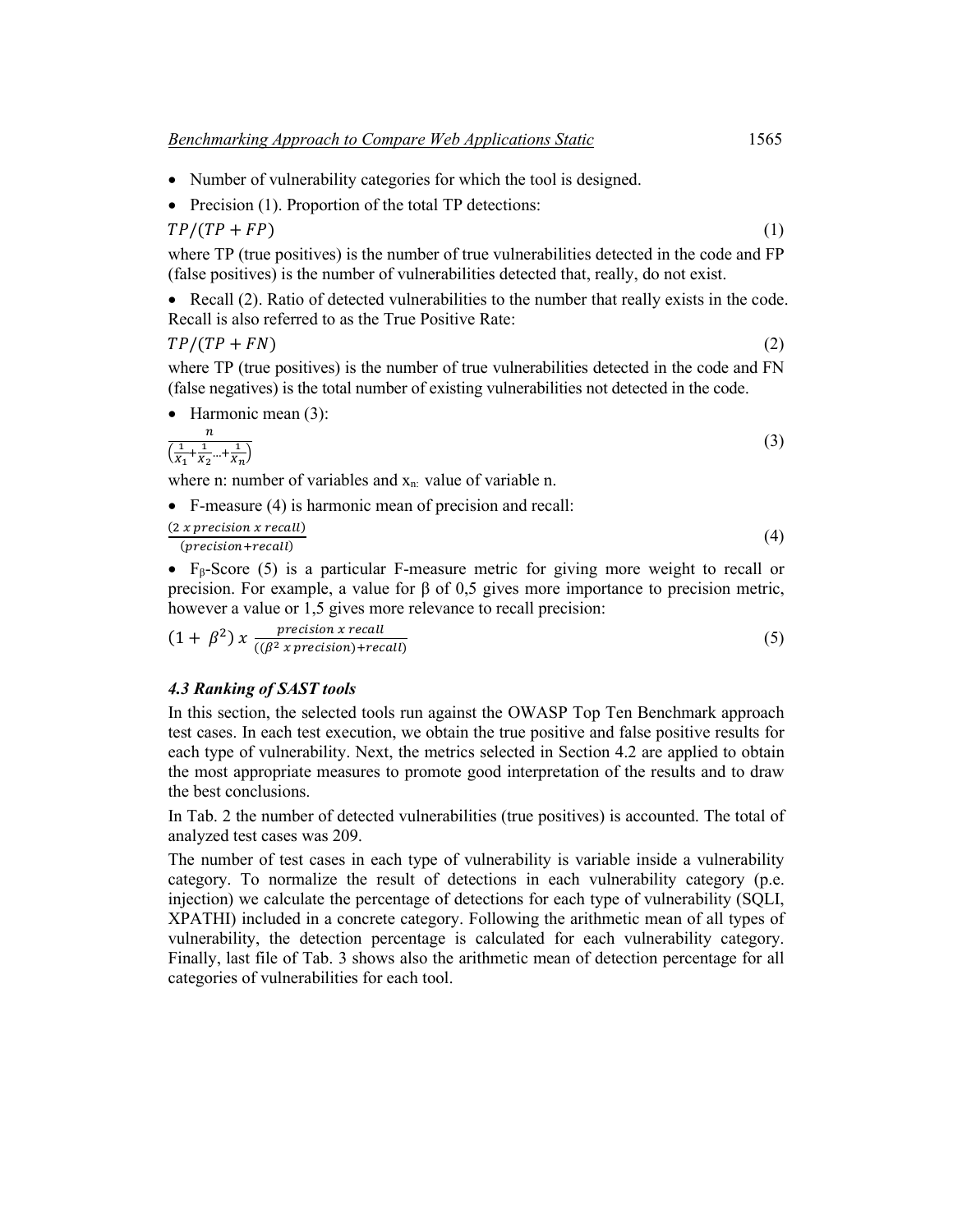- Number of vulnerability categories for which the tool is designed.
- Precision (1). Proportion of the total TP detections:

$$
TP/(TP + FP) \tag{1}
$$

where TP (true positives) is the number of true vulnerabilities detected in the code and FP (false positives) is the number of vulnerabilities detected that, really, do not exist.

• Recall (2). Ratio of detected vulnerabilities to the number that really exists in the code. Recall is also referred to as the True Positive Rate:

$$
TP/(TP + FN) \tag{2}
$$

where TP (true positives) is the number of true vulnerabilities detected in the code and FN (false negatives) is the total number of existing vulnerabilities not detected in the code.

• Harmonic mean (3):

$$
\frac{n}{\left(\frac{1}{X_1} + \frac{1}{X_2} + \dots + \frac{1}{X_n}\right)}
$$
\n(3)

where n: number of variables and  $x_n$ : value of variable n.

• F-measure (4) is harmonic mean of precision and recall:

 $(2 x precision x recall)$  $\frac{x}{p}$  (a)  $\frac{y}{q}$  (4)  $\frac{z}{q}$  (4)

• Fβ-Score (5) is a particular F-measure metric for giving more weight to recall or precision. For example, a value for β of 0,5 gives more importance to precision metric, however a value or 1,5 gives more relevance to recall precision:

 $(1 + \beta^2)$  x  $\frac{precision x recall}{((\beta^2 x precision) + recall)}$  $(5)$ 

# *4.3 Ranking of SAST tools*

In this section, the selected tools run against the OWASP Top Ten Benchmark approach test cases. In each test execution, we obtain the true positive and false positive results for each type of vulnerability. Next, the metrics selected in Section 4.2 are applied to obtain the most appropriate measures to promote good interpretation of the results and to draw the best conclusions.

In Tab. 2 the number of detected vulnerabilities (true positives) is accounted. The total of analyzed test cases was 209.

The number of test cases in each type of vulnerability is variable inside a vulnerability category. To normalize the result of detections in each vulnerability category (p.e. injection) we calculate the percentage of detections for each type of vulnerability (SQLI, XPATHI) included in a concrete category. Following the arithmetic mean of all types of vulnerability, the detection percentage is calculated for each vulnerability category. Finally, last file of Tab. 3 shows also the arithmetic mean of detection percentage for all categories of vulnerabilities for each tool.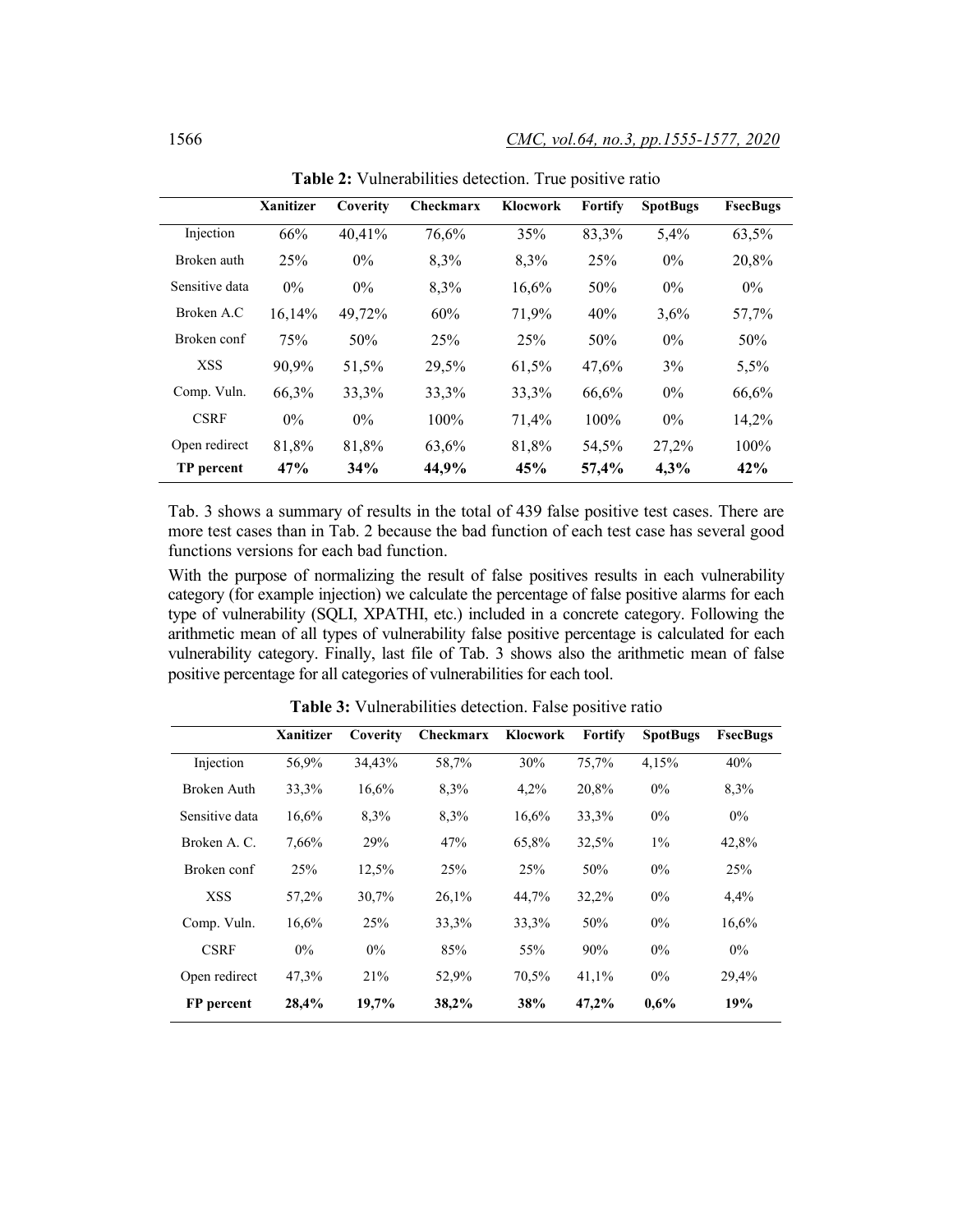|                | <b>Xanitizer</b> | Coverity | <b>Checkmarx</b> | Klocwork | <b>Fortify</b> | <b>SpotBugs</b> | <b>FsecBugs</b> |
|----------------|------------------|----------|------------------|----------|----------------|-----------------|-----------------|
| Injection      | 66%              | 40.41%   | 76,6%            | 35%      | 83,3%          | 5,4%            | 63,5%           |
| Broken auth    | 25%              | $0\%$    | 8,3%             | 8,3%     | 25%            | $0\%$           | 20,8%           |
| Sensitive data | $0\%$            | $0\%$    | 8,3%             | 16,6%    | 50%            | $0\%$           | $0\%$           |
| Broken A.C     | 16,14%           | 49,72%   | 60%              | 71,9%    | 40%            | 3,6%            | 57,7%           |
| Broken conf    | 75%              | 50%      | 25%              | 25%      | 50%            | $0\%$           | 50%             |
| <b>XSS</b>     | 90,9%            | 51,5%    | 29,5%            | 61,5%    | 47,6%          | 3%              | 5,5%            |
| Comp. Vuln.    | 66,3%            | 33,3%    | 33,3%            | 33,3%    | 66,6%          | $0\%$           | 66,6%           |
| <b>CSRF</b>    | $0\%$            | $0\%$    | 100%             | 71,4%    | 100%           | $0\%$           | 14,2%           |
| Open redirect  | 81,8%            | 81,8%    | 63.6%            | 81,8%    | 54,5%          | 27,2%           | 100%            |
| TP percent     | 47%              | 34%      | 44,9%            | 45%      | 57,4%          | 4,3%            | 42%             |

**Table 2:** Vulnerabilities detection. True positive ratio

Tab. 3 shows a summary of results in the total of 439 false positive test cases. There are more test cases than in Tab. 2 because the bad function of each test case has several good functions versions for each bad function.

With the purpose of normalizing the result of false positives results in each vulnerability category (for example injection) we calculate the percentage of false positive alarms for each type of vulnerability (SQLI, XPATHI, etc.) included in a concrete category. Following the arithmetic mean of all types of vulnerability false positive percentage is calculated for each vulnerability category. Finally, last file of Tab. 3 shows also the arithmetic mean of false positive percentage for all categories of vulnerabilities for each tool.

|                | <b>Xanitizer</b> | Coverity | <b>Checkmarx</b> | Klocwork | Fortify | <b>SpotBugs</b> | <b>FsecBugs</b> |
|----------------|------------------|----------|------------------|----------|---------|-----------------|-----------------|
| Injection      | 56,9%            | 34.43%   | 58,7%            | 30%      | 75,7%   | 4,15%           | 40%             |
| Broken Auth    | 33,3%            | 16,6%    | 8.3%             | 4,2%     | 20,8%   | $0\%$           | 8,3%            |
| Sensitive data | 16,6%            | 8.3%     | 8.3%             | 16.6%    | 33,3%   | 0%              | 0%              |
| Broken A. C.   | 7,66%            | 29%      | 47%              | 65,8%    | 32,5%   | $1\%$           | 42,8%           |
| Broken conf    | 25%              | 12,5%    | 25%              | 25%      | 50%     | $0\%$           | 25%             |
| <b>XSS</b>     | 57,2%            | 30,7%    | 26.1%            | 44,7%    | 32,2%   | $0\%$           | 4.4%            |
| Comp. Vuln.    | 16.6%            | 25%      | 33,3%            | 33,3%    | 50%     | $0\%$           | 16.6%           |
| <b>CSRF</b>    | $0\%$            | $0\%$    | 85%              | 55%      | 90%     | $0\%$           | 0%              |
| Open redirect  | 47,3%            | 21%      | 52,9%            | 70,5%    | 41,1%   | 0%              | 29,4%           |
| FP percent     | 28,4%            | 19,7%    | 38,2%            | 38%      | 47,2%   | $0.6\%$         | 19%             |

**Table 3:** Vulnerabilities detection. False positive ratio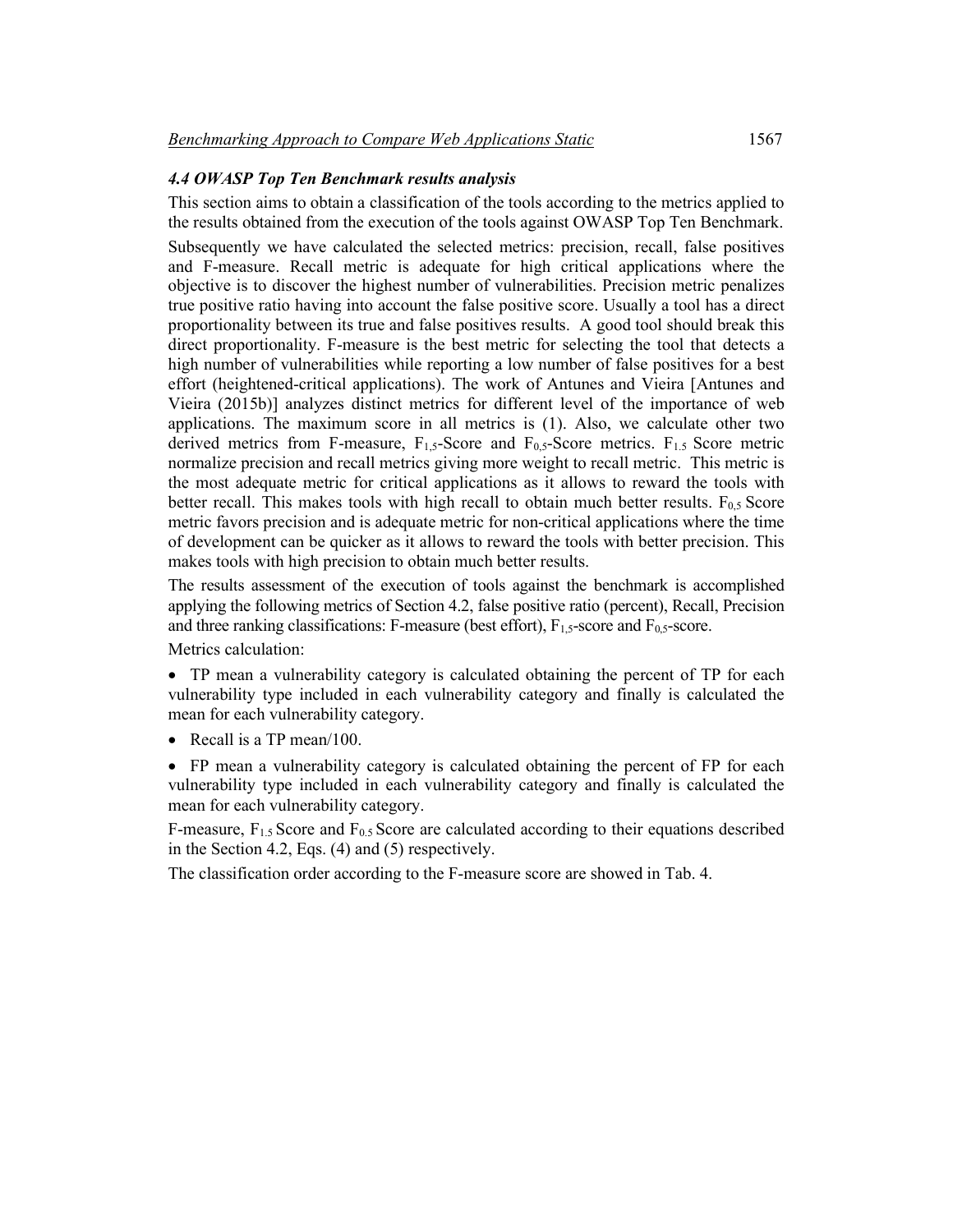### *4.4 OWASP Top Ten Benchmark results analysis*

This section aims to obtain a classification of the tools according to the metrics applied to the results obtained from the execution of the tools against OWASP Top Ten Benchmark. Subsequently we have calculated the selected metrics: precision, recall, false positives and F-measure. Recall metric is adequate for high critical applications where the objective is to discover the highest number of vulnerabilities. Precision metric penalizes true positive ratio having into account the false positive score. Usually a tool has a direct proportionality between its true and false positives results. A good tool should break this direct proportionality. F-measure is the best metric for selecting the tool that detects a high number of vulnerabilities while reporting a low number of false positives for a best effort (heightened-critical applications). The work of Antunes and Vieira [Antunes and Vieira (2015b)] analyzes distinct metrics for different level of the importance of web applications. The maximum score in all metrics is (1). Also, we calculate other two derived metrics from F-measure,  $F_{1,5}$ -Score and  $F_{0,5}$ -Score metrics.  $F_{1,5}$  Score metric normalize precision and recall metrics giving more weight to recall metric. This metric is the most adequate metric for critical applications as it allows to reward the tools with better recall. This makes tools with high recall to obtain much better results.  $F_{0.5}$  Score metric favors precision and is adequate metric for non-critical applications where the time of development can be quicker as it allows to reward the tools with better precision. This makes tools with high precision to obtain much better results.

The results assessment of the execution of tools against the benchmark is accomplished applying the following metrics of Section 4.2, false positive ratio (percent), Recall, Precision and three ranking classifications: F-measure (best effort),  $F_{1,5}$ -score and  $F_{0,5}$ -score.

Metrics calculation:

• TP mean a vulnerability category is calculated obtaining the percent of TP for each vulnerability type included in each vulnerability category and finally is calculated the mean for each vulnerability category.

• Recall is a TP mean/100.

• FP mean a vulnerability category is calculated obtaining the percent of FP for each vulnerability type included in each vulnerability category and finally is calculated the mean for each vulnerability category.

F-measure, F1.5 Score and F0.5 Score are calculated according to their equations described in the Section 4.2, Eqs. (4) and (5) respectively.

The classification order according to the F-measure score are showed in Tab. 4.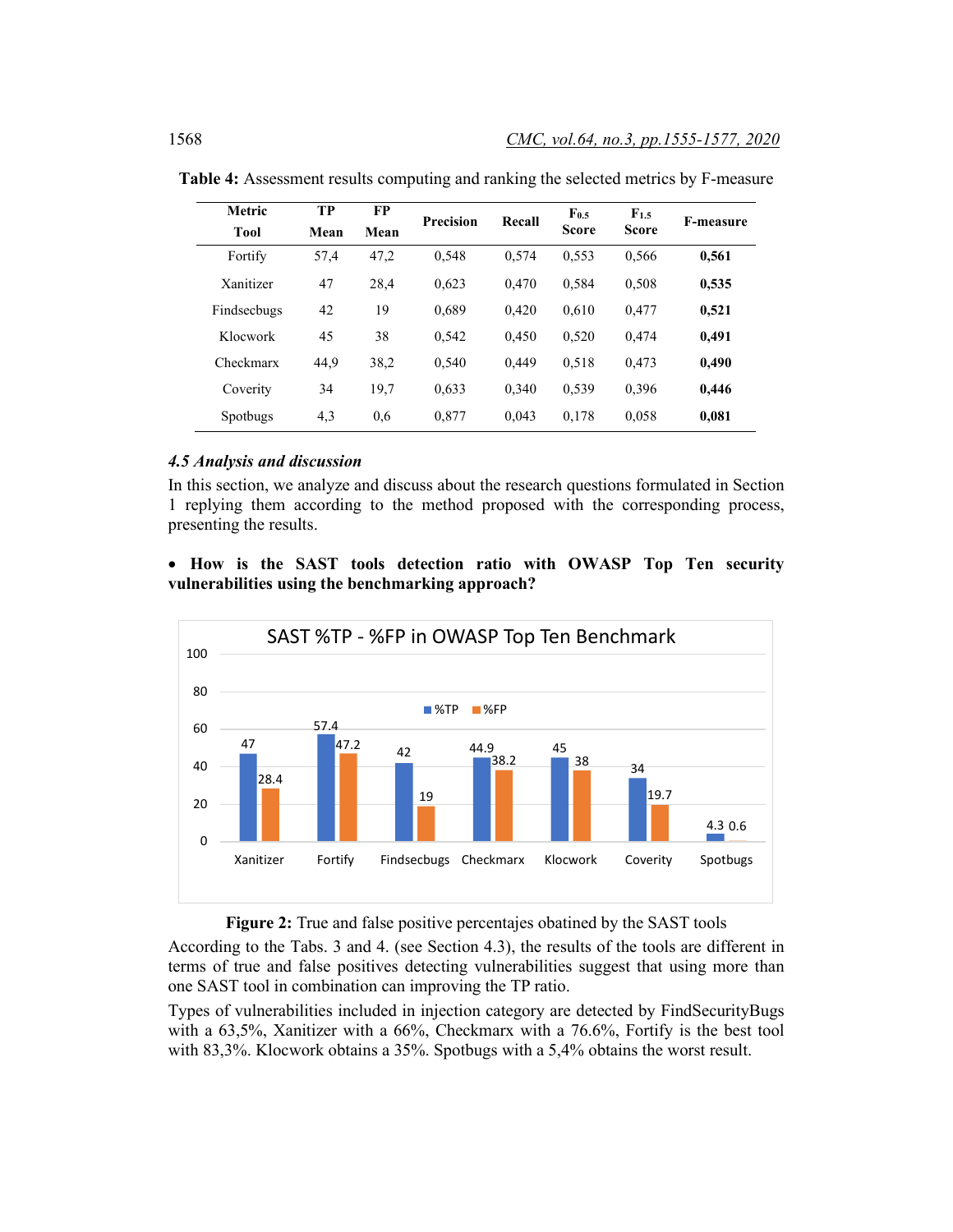| Metric      | TP   | FP   | <b>Precision</b> |       | $F_{0.5}$<br>Recall |              | <b>F-measure</b> |  |
|-------------|------|------|------------------|-------|---------------------|--------------|------------------|--|
| <b>Tool</b> | Mean | Mean |                  |       | <b>Score</b>        | <b>Score</b> |                  |  |
| Fortify     | 57,4 | 47,2 | 0.548            | 0,574 | 0.553               | 0,566        | 0,561            |  |
| Xanitizer   | 47   | 28,4 | 0.623            | 0,470 | 0,584               | 0.508        | 0,535            |  |
| Findsecbugs | 42   | 19   | 0.689            | 0.420 | 0.610               | 0.477        | 0,521            |  |
| Klocwork    | 45   | 38   | 0,542            | 0.450 | 0,520               | 0,474        | 0,491            |  |
| Checkmarx   | 44,9 | 38,2 | 0,540            | 0,449 | 0,518               | 0,473        | 0,490            |  |
| Coverity    | 34   | 19.7 | 0.633            | 0.340 | 0,539               | 0.396        | 0,446            |  |
| Spotbugs    | 4,3  | 0.6  | 0,877            | 0,043 | 0,178               | 0.058        | 0,081            |  |

**Table 4:** Assessment results computing and ranking the selected metrics by F-measure

#### *4.5 Analysis and discussion*

In this section, we analyze and discuss about the research questions formulated in Section 1 replying them according to the method proposed with the corresponding process, presenting the results.

# • **How is the SAST tools detection ratio with OWASP Top Ten security vulnerabilities using the benchmarking approach?**



#### **Figure 2:** True and false positive percentajes obatined by the SAST tools

According to the Tabs. 3 and 4. (see Section 4.3), the results of the tools are different in terms of true and false positives detecting vulnerabilities suggest that using more than one SAST tool in combination can improving the TP ratio.

Types of vulnerabilities included in injection category are detected by FindSecurityBugs with a 63,5%, Xanitizer with a 66%, Checkmarx with a 76.6%, Fortify is the best tool with 83,3%. Klocwork obtains a 35%. Spotbugs with a 5,4% obtains the worst result.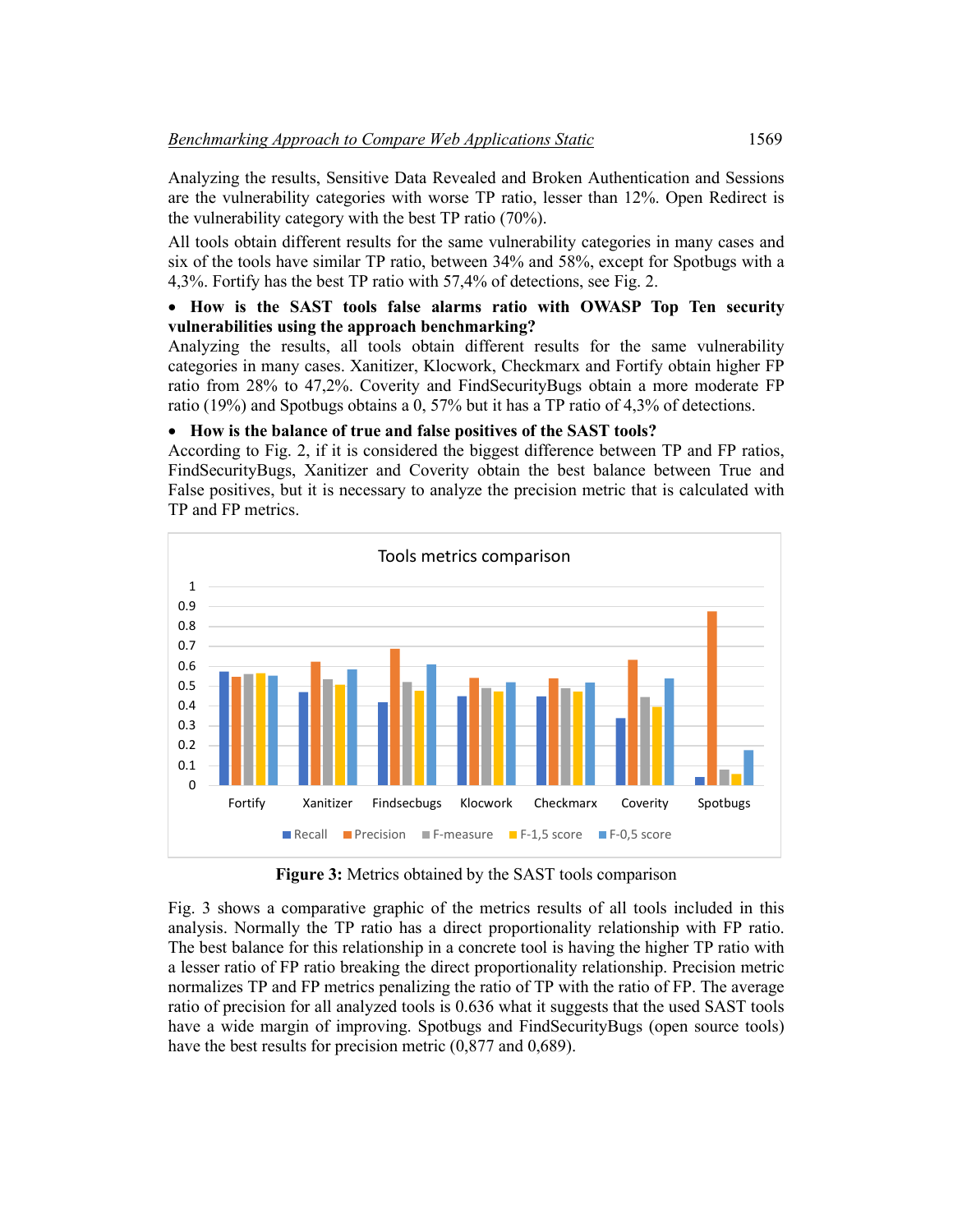Analyzing the results, Sensitive Data Revealed and Broken Authentication and Sessions are the vulnerability categories with worse TP ratio, lesser than 12%. Open Redirect is the vulnerability category with the best TP ratio (70%).

All tools obtain different results for the same vulnerability categories in many cases and six of the tools have similar TP ratio, between 34% and 58%, except for Spotbugs with a 4,3%. Fortify has the best TP ratio with 57,4% of detections, see Fig. 2.

# • **How is the SAST tools false alarms ratio with OWASP Top Ten security vulnerabilities using the approach benchmarking?**

Analyzing the results, all tools obtain different results for the same vulnerability categories in many cases. Xanitizer, Klocwork, Checkmarx and Fortify obtain higher FP ratio from 28% to 47,2%. Coverity and FindSecurityBugs obtain a more moderate FP ratio (19%) and Spotbugs obtains a 0, 57% but it has a TP ratio of 4,3% of detections.

# • **How is the balance of true and false positives of the SAST tools?**

According to Fig. 2, if it is considered the biggest difference between TP and FP ratios, FindSecurityBugs, Xanitizer and Coverity obtain the best balance between True and False positives, but it is necessary to analyze the precision metric that is calculated with TP and FP metrics.



**Figure 3:** Metrics obtained by the SAST tools comparison

Fig. 3 shows a comparative graphic of the metrics results of all tools included in this analysis. Normally the TP ratio has a direct proportionality relationship with FP ratio. The best balance for this relationship in a concrete tool is having the higher TP ratio with a lesser ratio of FP ratio breaking the direct proportionality relationship. Precision metric normalizes TP and FP metrics penalizing the ratio of TP with the ratio of FP. The average ratio of precision for all analyzed tools is 0.636 what it suggests that the used SAST tools have a wide margin of improving. Spotbugs and FindSecurityBugs (open source tools) have the best results for precision metric  $(0.877 \text{ and } 0.689)$ .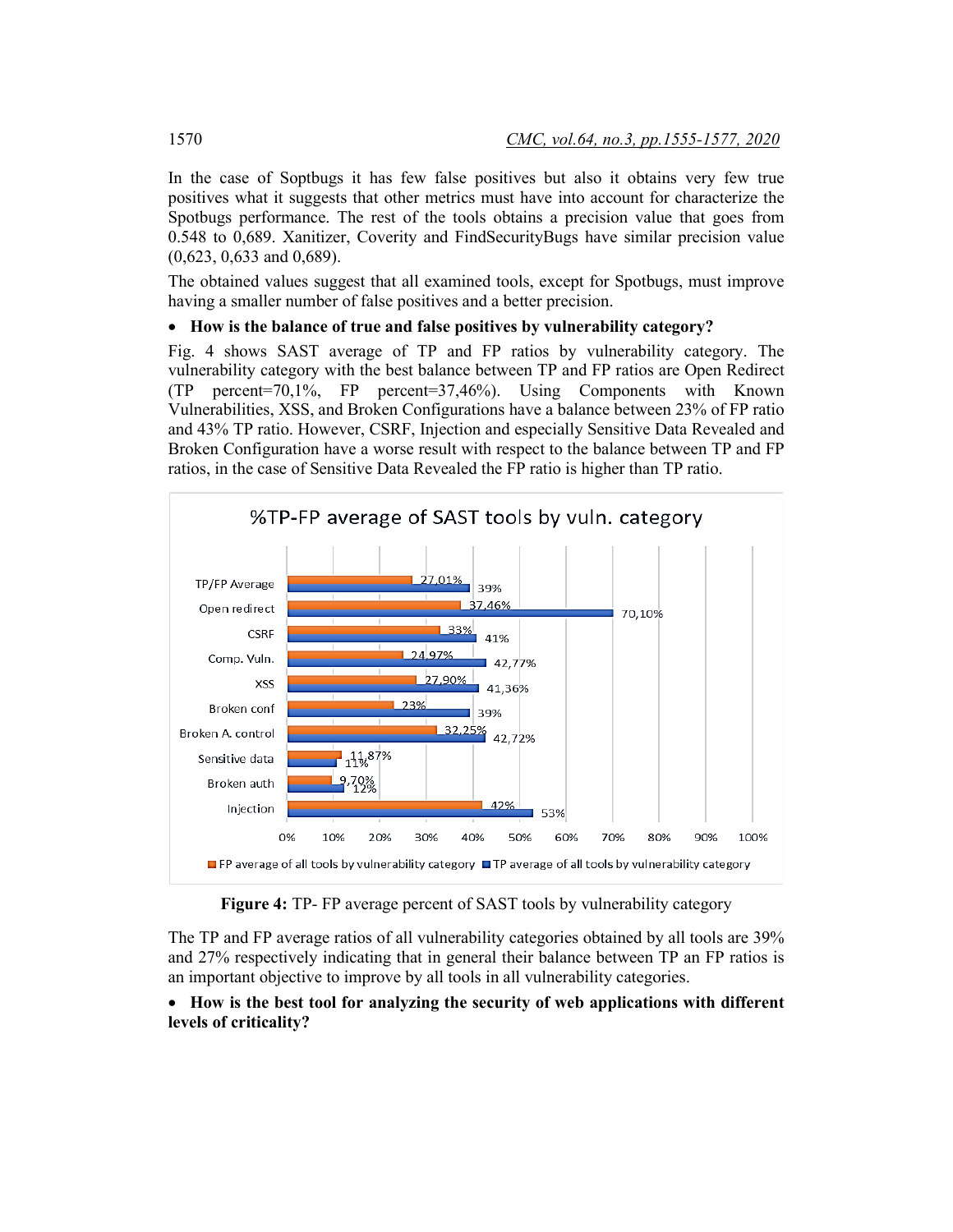In the case of Soptbugs it has few false positives but also it obtains very few true positives what it suggests that other metrics must have into account for characterize the Spotbugs performance. The rest of the tools obtains a precision value that goes from 0.548 to 0,689. Xanitizer, Coverity and FindSecurityBugs have similar precision value (0,623, 0,633 and 0,689).

The obtained values suggest that all examined tools, except for Spotbugs, must improve having a smaller number of false positives and a better precision.

# • **How is the balance of true and false positives by vulnerability category?**

Fig. 4 shows SAST average of TP and FP ratios by vulnerability category. The vulnerability category with the best balance between TP and FP ratios are Open Redirect (TP percent=70,1%, FP percent=37,46%). Using Components with Known Vulnerabilities, XSS, and Broken Configurations have a balance between 23% of FP ratio and 43% TP ratio. However, CSRF, Injection and especially Sensitive Data Revealed and Broken Configuration have a worse result with respect to the balance between TP and FP ratios, in the case of Sensitive Data Revealed the FP ratio is higher than TP ratio.



**Figure 4:** TP- FP average percent of SAST tools by vulnerability category

The TP and FP average ratios of all vulnerability categories obtained by all tools are 39% and 27% respectively indicating that in general their balance between TP an FP ratios is an important objective to improve by all tools in all vulnerability categories.

# • **How is the best tool for analyzing the security of web applications with different levels of criticality?**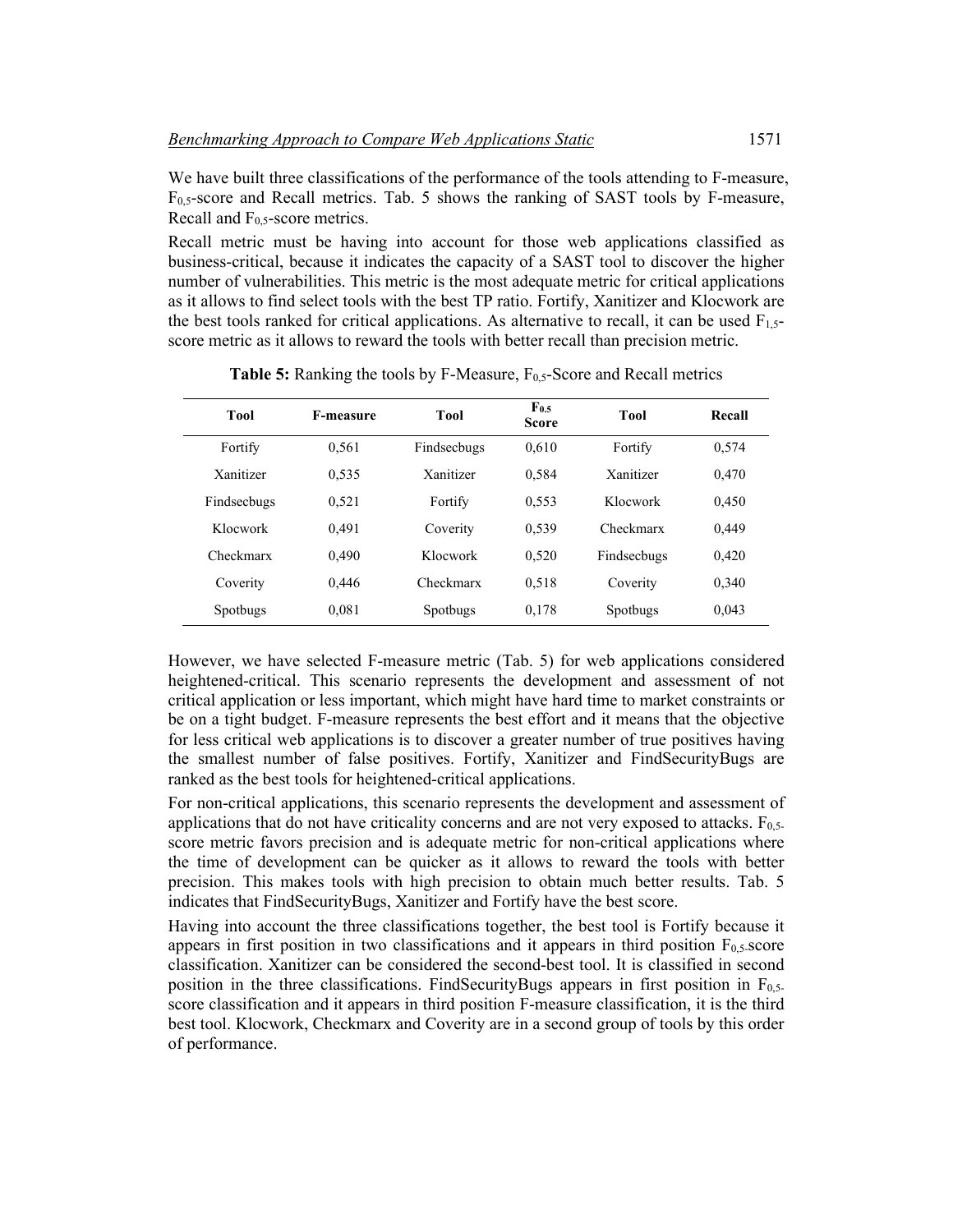We have built three classifications of the performance of the tools attending to F-measure, F0,5-score and Recall metrics. Tab. 5 shows the ranking of SAST tools by F-measure, Recall and  $F_{0.5}$ -score metrics.

Recall metric must be having into account for those web applications classified as business-critical, because it indicates the capacity of a SAST tool to discover the higher number of vulnerabilities. This metric is the most adequate metric for critical applications as it allows to find select tools with the best TP ratio. Fortify, Xanitizer and Klocwork are the best tools ranked for critical applications. As alternative to recall, it can be used  $F_{1,5-}$ score metric as it allows to reward the tools with better recall than precision metric.

| Tool        | <b>F-measure</b> | <b>Tool</b> | $\mathbf{F_{0.5}}$<br><b>Score</b> | <b>Tool</b> | Recall |
|-------------|------------------|-------------|------------------------------------|-------------|--------|
| Fortify     | 0.561            | Findsecbugs | 0.610                              | Fortify     | 0,574  |
| Xanitizer   | 0.535            | Xanitizer   | 0,584                              | Xanitizer   | 0,470  |
| Findsecbugs | 0,521            | Fortify     | 0.553                              | Klocwork    | 0,450  |
| Klocwork    | 0.491            | Coverity    | 0.539                              | Checkmarx   | 0,449  |
| Checkmarx   | 0.490            | Klocwork    | 0,520                              | Findsecbugs | 0,420  |
| Coverity    | 0.446            | Checkmarx   | 0.518                              | Coverity    | 0,340  |
| Spotbugs    | 0.081            | Spotbugs    | 0,178                              | Spotbugs    | 0,043  |

**Table 5:** Ranking the tools by F-Measure, F<sub>0,5</sub>-Score and Recall metrics

However, we have selected F-measure metric (Tab. 5) for web applications considered heightened-critical. This scenario represents the development and assessment of not critical application or less important, which might have hard time to market constraints or be on a tight budget. F-measure represents the best effort and it means that the objective for less critical web applications is to discover a greater number of true positives having the smallest number of false positives. Fortify, Xanitizer and FindSecurityBugs are ranked as the best tools for heightened-critical applications.

For non-critical applications, this scenario represents the development and assessment of applications that do not have criticality concerns and are not very exposed to attacks.  $F_{0.5}$ score metric favors precision and is adequate metric for non-critical applications where the time of development can be quicker as it allows to reward the tools with better precision. This makes tools with high precision to obtain much better results. Tab. 5 indicates that FindSecurityBugs, Xanitizer and Fortify have the best score.

Having into account the three classifications together, the best tool is Fortify because it appears in first position in two classifications and it appears in third position  $F_{0.5}$ -score classification. Xanitizer can be considered the second-best tool. It is classified in second position in the three classifications. FindSecurityBugs appears in first position in F0,5 score classification and it appears in third position F-measure classification, it is the third best tool. Klocwork, Checkmarx and Coverity are in a second group of tools by this order of performance.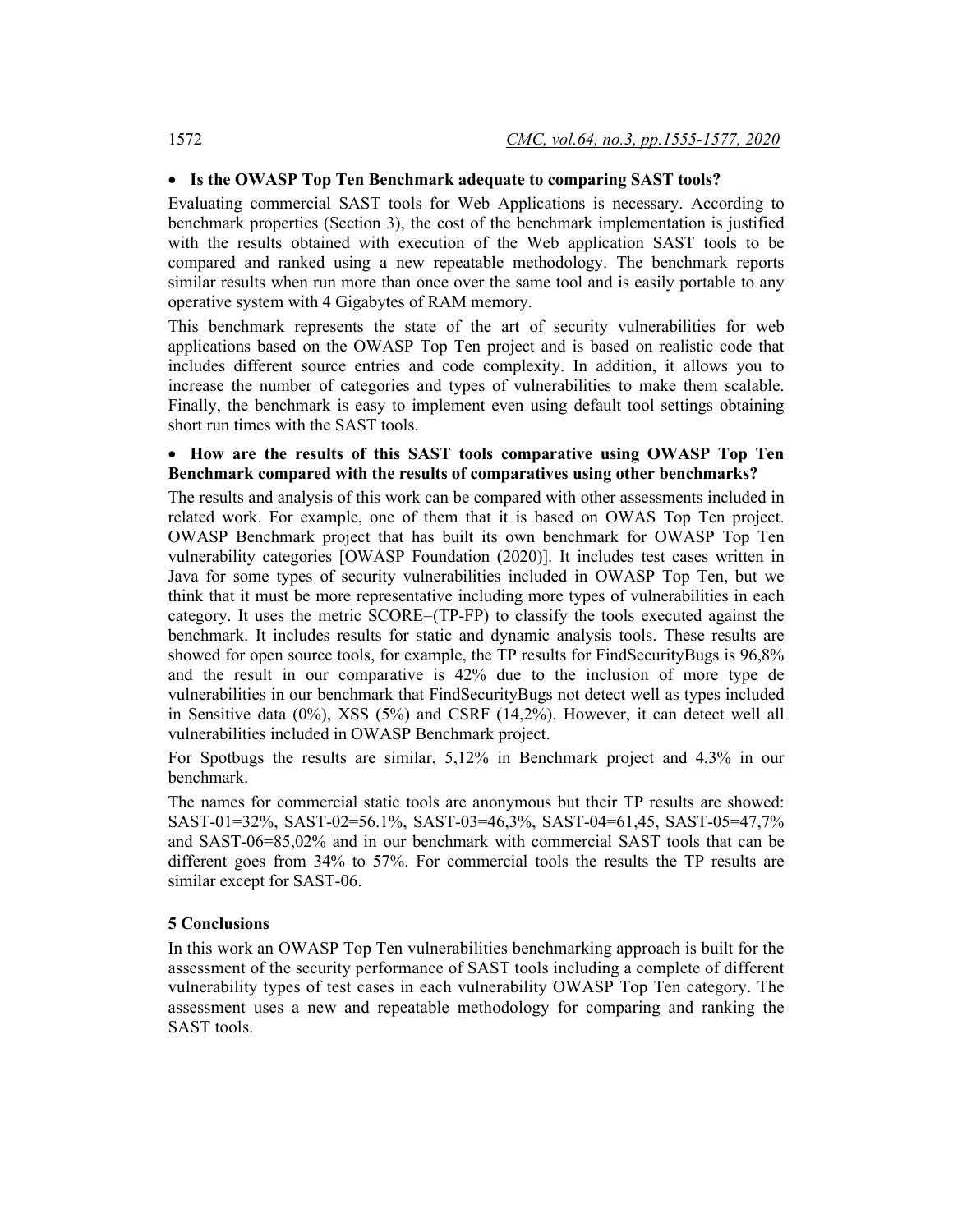#### • **Is the OWASP Top Ten Benchmark adequate to comparing SAST tools?**

Evaluating commercial SAST tools for Web Applications is necessary. According to benchmark properties (Section 3), the cost of the benchmark implementation is justified with the results obtained with execution of the Web application SAST tools to be compared and ranked using a new repeatable methodology. The benchmark reports similar results when run more than once over the same tool and is easily portable to any operative system with 4 Gigabytes of RAM memory.

This benchmark represents the state of the art of security vulnerabilities for web applications based on the OWASP Top Ten project and is based on realistic code that includes different source entries and code complexity. In addition, it allows you to increase the number of categories and types of vulnerabilities to make them scalable. Finally, the benchmark is easy to implement even using default tool settings obtaining short run times with the SAST tools.

# • **How are the results of this SAST tools comparative using OWASP Top Ten Benchmark compared with the results of comparatives using other benchmarks?**

The results and analysis of this work can be compared with other assessments included in related work. For example, one of them that it is based on OWAS Top Ten project. OWASP Benchmark project that has built its own benchmark for OWASP Top Ten vulnerability categories [OWASP Foundation (2020)]. It includes test cases written in Java for some types of security vulnerabilities included in OWASP Top Ten, but we think that it must be more representative including more types of vulnerabilities in each category. It uses the metric SCORE=(TP-FP) to classify the tools executed against the benchmark. It includes results for static and dynamic analysis tools. These results are showed for open source tools, for example, the TP results for FindSecurityBugs is 96,8% and the result in our comparative is 42% due to the inclusion of more type de vulnerabilities in our benchmark that FindSecurityBugs not detect well as types included in Sensitive data (0%), XSS (5%) and CSRF (14,2%). However, it can detect well all vulnerabilities included in OWASP Benchmark project.

For Spotbugs the results are similar, 5,12% in Benchmark project and 4,3% in our benchmark.

The names for commercial static tools are anonymous but their TP results are showed: SAST-01=32%, SAST-02=56.1%, SAST-03=46,3%, SAST-04=61,45, SAST-05=47,7% and SAST-06=85,02% and in our benchmark with commercial SAST tools that can be different goes from 34% to 57%. For commercial tools the results the TP results are similar except for SAST-06.

#### **5 Conclusions**

In this work an OWASP Top Ten vulnerabilities benchmarking approach is built for the assessment of the security performance of SAST tools including a complete of different vulnerability types of test cases in each vulnerability OWASP Top Ten category. The assessment uses a new and repeatable methodology for comparing and ranking the SAST tools.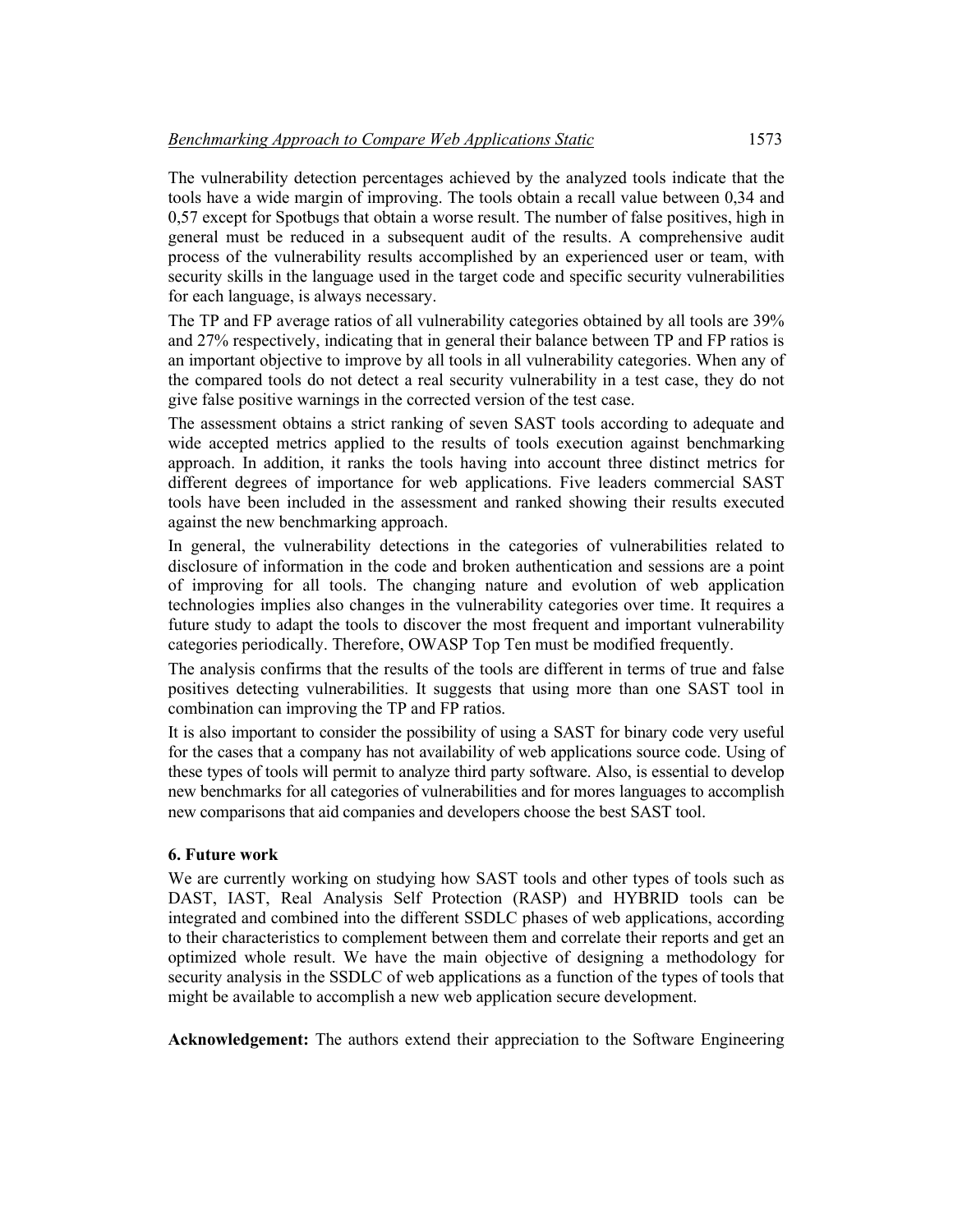The vulnerability detection percentages achieved by the analyzed tools indicate that the tools have a wide margin of improving. The tools obtain a recall value between 0,34 and 0,57 except for Spotbugs that obtain a worse result. The number of false positives, high in general must be reduced in a subsequent audit of the results. A comprehensive audit process of the vulnerability results accomplished by an experienced user or team, with security skills in the language used in the target code and specific security vulnerabilities for each language, is always necessary.

The TP and FP average ratios of all vulnerability categories obtained by all tools are 39% and 27% respectively, indicating that in general their balance between TP and FP ratios is an important objective to improve by all tools in all vulnerability categories. When any of the compared tools do not detect a real security vulnerability in a test case, they do not give false positive warnings in the corrected version of the test case.

The assessment obtains a strict ranking of seven SAST tools according to adequate and wide accepted metrics applied to the results of tools execution against benchmarking approach. In addition, it ranks the tools having into account three distinct metrics for different degrees of importance for web applications. Five leaders commercial SAST tools have been included in the assessment and ranked showing their results executed against the new benchmarking approach.

In general, the vulnerability detections in the categories of vulnerabilities related to disclosure of information in the code and broken authentication and sessions are a point of improving for all tools. The changing nature and evolution of web application technologies implies also changes in the vulnerability categories over time. It requires a future study to adapt the tools to discover the most frequent and important vulnerability categories periodically. Therefore, OWASP Top Ten must be modified frequently.

The analysis confirms that the results of the tools are different in terms of true and false positives detecting vulnerabilities. It suggests that using more than one SAST tool in combination can improving the TP and FP ratios.

It is also important to consider the possibility of using a SAST for binary code very useful for the cases that a company has not availability of web applications source code. Using of these types of tools will permit to analyze third party software. Also, is essential to develop new benchmarks for all categories of vulnerabilities and for mores languages to accomplish new comparisons that aid companies and developers choose the best SAST tool.

# **6. Future work**

We are currently working on studying how SAST tools and other types of tools such as DAST, IAST, Real Analysis Self Protection (RASP) and HYBRID tools can be integrated and combined into the different SSDLC phases of web applications, according to their characteristics to complement between them and correlate their reports and get an optimized whole result. We have the main objective of designing a methodology for security analysis in the SSDLC of web applications as a function of the types of tools that might be available to accomplish a new web application secure development.

**Acknowledgement:** The authors extend their appreciation to the Software Engineering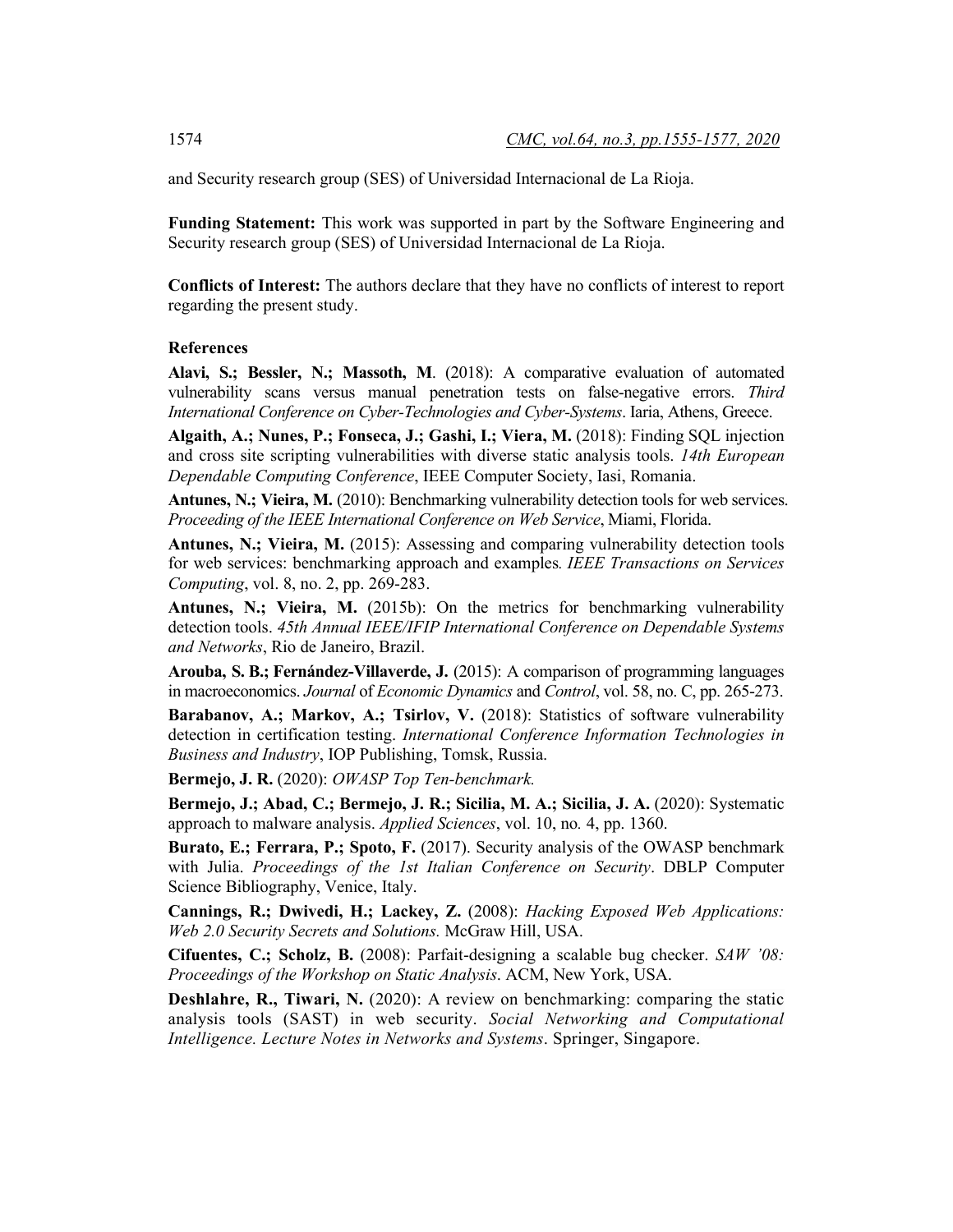and Security research group (SES) of Universidad Internacional de La Rioja.

**Funding Statement:** This work was supported in part by the Software Engineering and Security research group (SES) of Universidad Internacional de La Rioja.

**Conflicts of Interest:** The authors declare that they have no conflicts of interest to report regarding the present study.

#### **References**

**Alavi, S.; Bessler, N.; Massoth, M**. (2018): A comparative evaluation of automated vulnerability scans versus manual penetration tests on false-negative errors. *Third International Conference on Cyber-Technologies and Cyber-Systems*. Iaria, Athens, Greece.

**Algaith, A.; Nunes, P.; Fonseca, J.; Gashi, I.; Viera, M.** (2018): Finding SQL injection and cross site scripting vulnerabilities with diverse static analysis tools. *14th European Dependable Computing Conference*, IEEE Computer Society, Iasi, Romania.

**Antunes, N.; Vieira, M.** (2010): Benchmarking vulnerability detection tools for web services. *Proceeding of the IEEE International Conference on Web Service*, Miami, Florida.

**Antunes, N.; Vieira, M.** (2015): Assessing and comparing vulnerability detection tools for web services: benchmarking approach and examples*. IEEE Transactions on Services Computing*, vol. 8, no. 2, pp. 269-283.

**Antunes, N.; Vieira, M.** (2015b): On the metrics for benchmarking vulnerability detection tools. *45th Annual IEEE/IFIP International Conference on Dependable Systems and Networks*, Rio de Janeiro, Brazil.

**Arouba, S. B.; Fernández-Villaverde, J.** (2015): A comparison of programming languages in macroeconomics. *Journal* of *Economic Dynamics* and *Control*, vol. 58, no. C, pp. 265-273.

**Barabanov, A.; Markov, A.; Tsirlov, V.** (2018): Statistics of software vulnerability detection in certification testing. *International Conference Information Technologies in Business and Industry*, IOP Publishing, Tomsk, Russia.

**Bermejo, J. R.** (2020): *OWASP Top Ten-benchmark.*

**Bermejo, J.; Abad, C.; Bermejo, J. R.; Sicilia, M. A.; Sicilia, J. A.** (2020): Systematic approach to malware analysis. *Applied Sciences*, vol. 10, no*.* 4, pp. 1360.

**Burato, E.; Ferrara, P.; Spoto, F.** (2017). Security analysis of the OWASP benchmark with Julia. *Proceedings of the 1st Italian Conference on Security*. DBLP Computer Science Bibliography, Venice, Italy.

**Cannings, R.; Dwivedi, H.; Lackey, Z.** (2008): *Hacking Exposed Web Applications: Web 2.0 Security Secrets and Solutions.* McGraw Hill, USA.

**Cifuentes, C.; Scholz, B.** (2008): Parfait-designing a scalable bug checker. *SAW '08: Proceedings of the Workshop on Static Analysis*. ACM, New York, USA.

**Deshlahre, R., Tiwari, N.** (2020): A review on benchmarking: comparing the static analysis tools (SAST) in web security. *Social Networking and Computational Intelligence. Lecture Notes in Networks and Systems*. Springer, Singapore.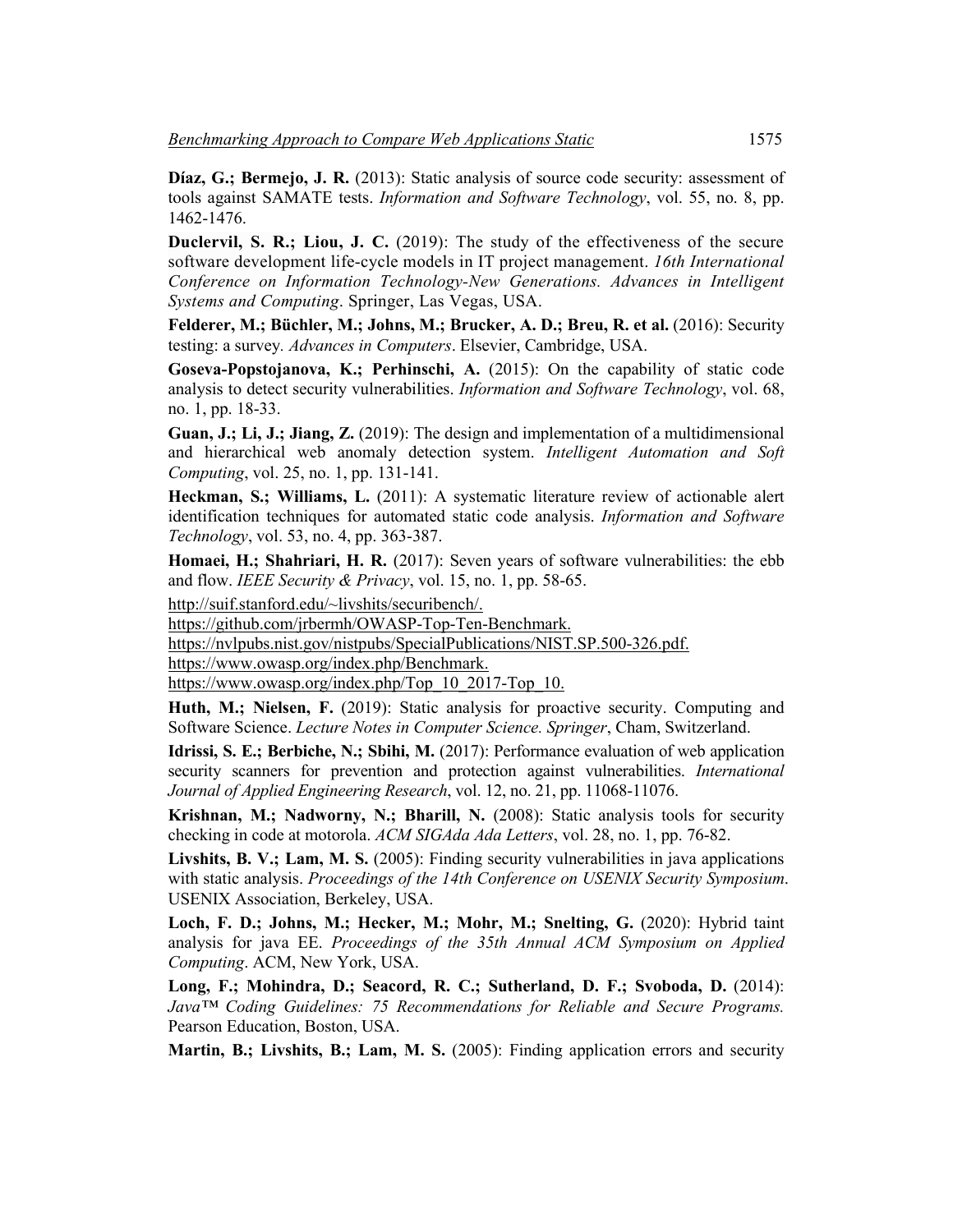Díaz, G.; Bermejo, J. R. (2013): Static analysis of source code security: assessment of tools against SAMATE tests. *Information and Software Technology*, vol. 55, no. 8, pp. 1462-1476.

**Duclervil, S. R.; Liou, J. C.** (2019): The study of the effectiveness of the secure software development life-cycle models in IT project management. *16th International Conference on Information Technology-New Generations. Advances in Intelligent Systems and Computing*. Springer, Las Vegas, USA.

**Felderer, M.; Büchler, M.; Johns, M.; Brucker, A. D.; Breu, R. et al.** (2016): Security testing: a survey*. Advances in Computers*. Elsevier, Cambridge, USA.

**Goseva-Popstojanova, K.; Perhinschi, A.** (2015): On the capability of static code analysis to detect security vulnerabilities. *Information and Software Technology*, vol. 68, no. 1, pp. 18-33.

**Guan, J.; Li, J.; Jiang, Z.** (2019): The design and implementation of a multidimensional and hierarchical web anomaly detection system. *Intelligent Automation and Soft Computing*, vol. 25, no. 1, pp. 131-141.

**Heckman, S.; Williams, L.** (2011): A systematic literature review of actionable alert identification techniques for automated static code analysis. *Information and Software Technology*, vol. 53, no. 4, pp. 363-387.

**Homaei, H.; Shahriari, H. R.** (2017): Seven years of software vulnerabilities: the ebb and flow. *IEEE Security & Privacy*, vol. 15, no. 1, pp. 58-65.

http://suif.stanford.edu/~livshits/securibench/.

https://github.com/jrbermh/OWASP-Top-Ten-Benchmark.

https://nvlpubs.nist.gov/nistpubs/SpecialPublications/NIST.SP.500-326.pdf.

https://www.owasp.org/index.php/Benchmark.

https://www.owasp.org/index.php/Top\_10\_2017-Top\_10.

Huth, M.; Nielsen, F. (2019): Static analysis for proactive security. Computing and Software Science. *Lecture Notes in Computer Science. Springer*, Cham, Switzerland.

**Idrissi, S. E.; Berbiche, N.; Sbihi, M.** (2017): Performance evaluation of web application security scanners for prevention and protection against vulnerabilities. *International Journal of Applied Engineering Research*, vol. 12, no. 21, pp. 11068-11076.

**Krishnan, M.; Nadworny, N.; Bharill, N.** (2008): Static analysis tools for security checking in code at motorola. *ACM SIGAda Ada Letters*, vol. 28, no. 1, pp. 76-82.

**Livshits, B. V.; Lam, M. S.** (2005): Finding security vulnerabilities in java applications with static analysis. *Proceedings of the 14th Conference on USENIX Security Symposium*. USENIX Association, Berkeley, USA.

**Loch, F. D.; Johns, M.; Hecker, M.; Mohr, M.; Snelting, G.** (2020): Hybrid taint analysis for java EE. *Proceedings of the 35th Annual ACM Symposium on Applied Computing*. ACM, New York, USA.

**Long, F.; Mohindra, D.; Seacord, R. C.; Sutherland, D. F.; Svoboda, D.** (2014): *Java™ Coding Guidelines: 75 Recommendations for Reliable and Secure Programs.* Pearson Education, Boston, USA.

**Martin, B.; Livshits, B.; Lam, M. S.** (2005): Finding application errors and security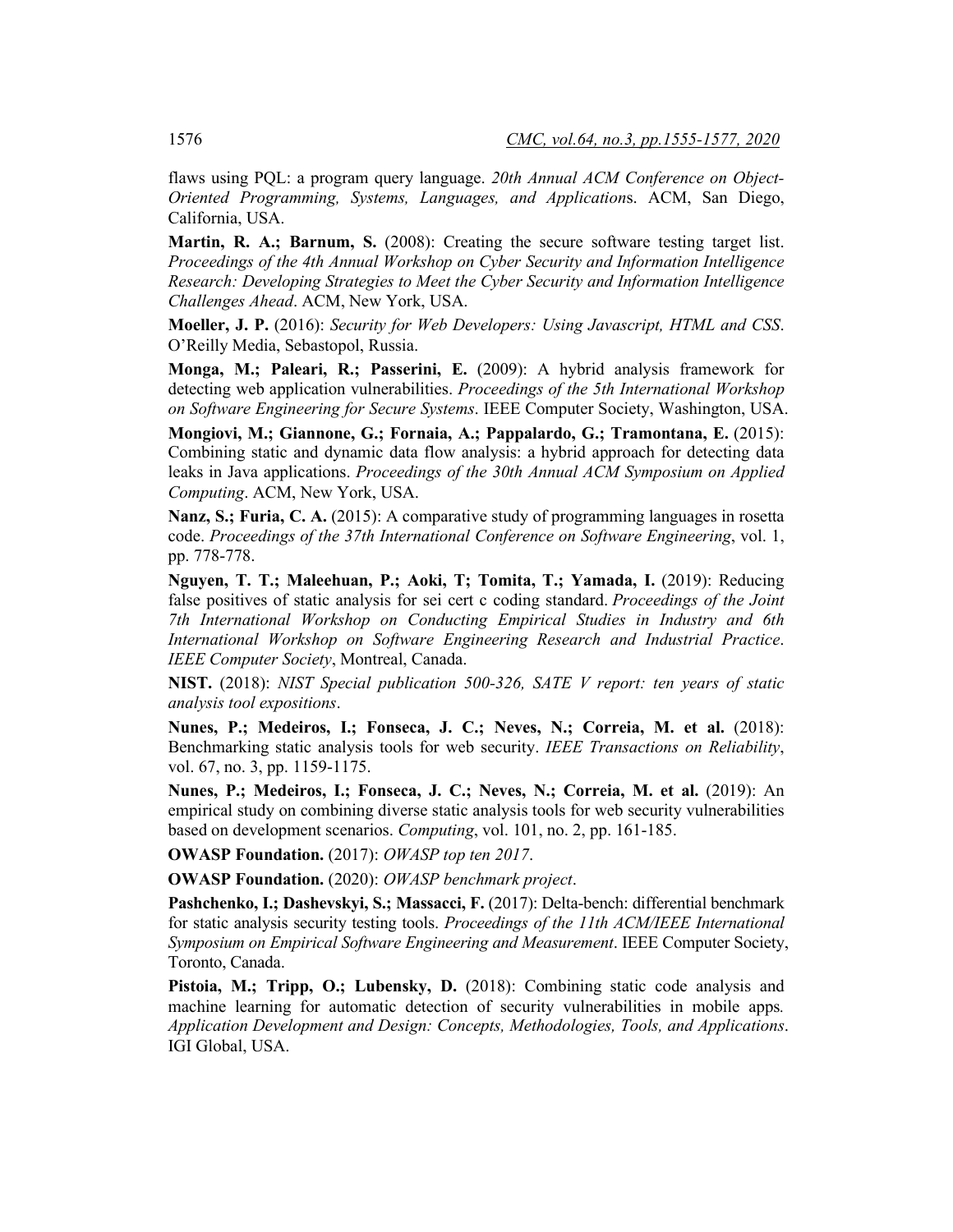flaws using PQL: a program query language. *20th Annual ACM Conference on Object-Oriented Programming, Systems, Languages, and Application*s. ACM, San Diego, California, USA.

**Martin, R. A.; Barnum, S.** (2008): Creating the secure software testing target list. *Proceedings of the 4th Annual Workshop on Cyber Security and Information Intelligence Research: Developing Strategies to Meet the Cyber Security and Information Intelligence Challenges Ahead*. ACM, New York, USA.

**Moeller, J. P.** (2016): *Security for Web Developers: Using Javascript, HTML and CSS*. O'Reilly Media, Sebastopol, Russia.

**Monga, M.; Paleari, R.; Passerini, E.** (2009): A hybrid analysis framework for detecting web application vulnerabilities. *Proceedings of the 5th International Workshop on Software Engineering for Secure Systems*. IEEE Computer Society, Washington, USA.

**Mongiovi, M.; Giannone, G.; Fornaia, A.; Pappalardo, G.; Tramontana, E.** (2015): Combining static and dynamic data flow analysis: a hybrid approach for detecting data leaks in Java applications. *Proceedings of the 30th Annual ACM Symposium on Applied Computing*. ACM, New York, USA.

**Nanz, S.; Furia, C. A.** (2015): A comparative study of programming languages in rosetta code. *Proceedings of the 37th International Conference on Software Engineering*, vol. 1, pp. 778-778.

**Nguyen, T. T.; Maleehuan, P.; Aoki, T; Tomita, T.; Yamada, I.** (2019): Reducing false positives of static analysis for sei cert c coding standard. *Proceedings of the Joint 7th International Workshop on Conducting Empirical Studies in Industry and 6th International Workshop on Software Engineering Research and Industrial Practice*. *IEEE Computer Society*, Montreal, Canada.

**NIST.** (2018): *NIST Special publication 500-326, SATE V report: ten years of static analysis tool expositions*.

**Nunes, P.; Medeiros, I.; Fonseca, J. C.; Neves, N.; Correia, M. et al.** (2018): Benchmarking static analysis tools for web security. *IEEE Transactions on Reliability*, vol. 67, no. 3, pp. 1159-1175.

**Nunes, P.; Medeiros, I.; Fonseca, J. C.; Neves, N.; Correia, M. et al.** (2019): An empirical study on combining diverse static analysis tools for web security vulnerabilities based on development scenarios. *Computing*, vol. 101, no. 2, pp. 161-185.

**OWASP Foundation.** (2017): *OWASP top ten 2017*.

**OWASP Foundation.** (2020): *OWASP benchmark project*.

**Pashchenko, I.; Dashevskyi, S.; Massacci, F.** (2017): Delta-bench: differential benchmark for static analysis security testing tools. *Proceedings of the 11th ACM/IEEE International Symposium on Empirical Software Engineering and Measurement*. IEEE Computer Society, Toronto, Canada.

**Pistoia, M.; Tripp, O.; Lubensky, D.** (2018): Combining static code analysis and machine learning for automatic detection of security vulnerabilities in mobile apps*. Application Development and Design: Concepts, Methodologies, Tools, and Applications*. IGI Global, USA.